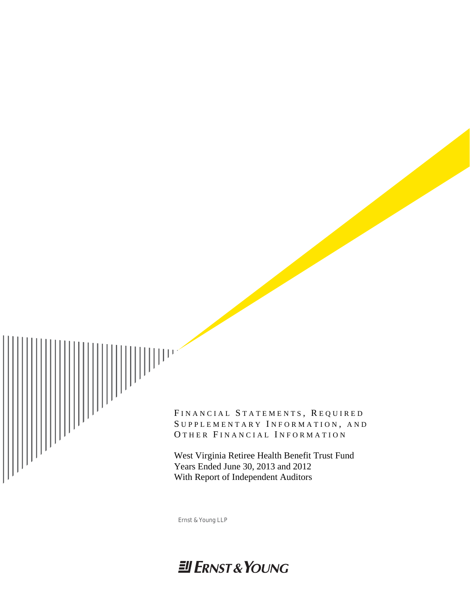

### F INANCIAL S TATEMENTS , R EQUIRED SUPPLEMENTARY INFORMATION, AND OTHER FINANCIAL INFORMATION

West Virginia Retiree Health Benefit Trust Fund Years Ended June 30, 2013 and 2012 With Report of Independent Auditors

Ernst & Young LLP

# **Ell ERNST & YOUNG**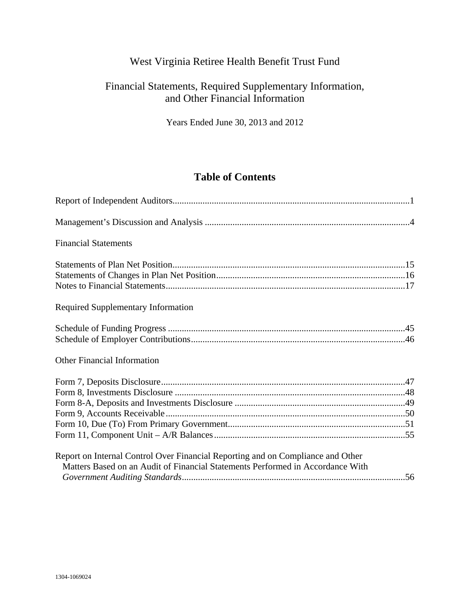## Financial Statements, Required Supplementary Information, and Other Financial Information

Years Ended June 30, 2013 and 2012

## **Table of Contents**

| <b>Financial Statements</b>                                                                                                                                       |  |
|-------------------------------------------------------------------------------------------------------------------------------------------------------------------|--|
|                                                                                                                                                                   |  |
| <b>Required Supplementary Information</b>                                                                                                                         |  |
|                                                                                                                                                                   |  |
| Other Financial Information                                                                                                                                       |  |
|                                                                                                                                                                   |  |
|                                                                                                                                                                   |  |
|                                                                                                                                                                   |  |
|                                                                                                                                                                   |  |
|                                                                                                                                                                   |  |
|                                                                                                                                                                   |  |
| Report on Internal Control Over Financial Reporting and on Compliance and Other<br>Matters Based on an Audit of Financial Statements Performed in Accordance With |  |
|                                                                                                                                                                   |  |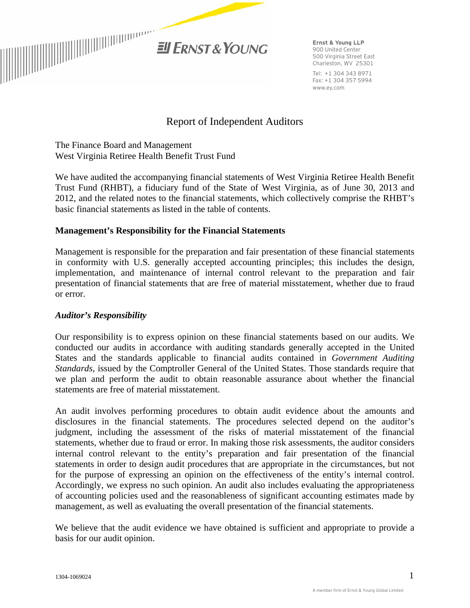

**Ernst & Young LLP**  900 United Center 500 Virginia Street East Charleston, WV 25301 Tel: +1 304 343 8971 Fax: +1 304 357 5994 www.ey.com

## Report of Independent Auditors

The Finance Board and Management West Virginia Retiree Health Benefit Trust Fund

We have audited the accompanying financial statements of West Virginia Retiree Health Benefit Trust Fund (RHBT), a fiduciary fund of the State of West Virginia, as of June 30, 2013 and 2012, and the related notes to the financial statements, which collectively comprise the RHBT's basic financial statements as listed in the table of contents.

#### **Management's Responsibility for the Financial Statements**

Management is responsible for the preparation and fair presentation of these financial statements in conformity with U.S. generally accepted accounting principles; this includes the design, implementation, and maintenance of internal control relevant to the preparation and fair presentation of financial statements that are free of material misstatement, whether due to fraud or error.

#### *Auditor's Responsibility*

Our responsibility is to express opinion on these financial statements based on our audits. We conducted our audits in accordance with auditing standards generally accepted in the United States and the standards applicable to financial audits contained in *Government Auditing Standards*, issued by the Comptroller General of the United States. Those standards require that we plan and perform the audit to obtain reasonable assurance about whether the financial statements are free of material misstatement.

An audit involves performing procedures to obtain audit evidence about the amounts and disclosures in the financial statements. The procedures selected depend on the auditor's judgment, including the assessment of the risks of material misstatement of the financial statements, whether due to fraud or error. In making those risk assessments, the auditor considers internal control relevant to the entity's preparation and fair presentation of the financial statements in order to design audit procedures that are appropriate in the circumstances, but not for the purpose of expressing an opinion on the effectiveness of the entity's internal control. Accordingly, we express no such opinion. An audit also includes evaluating the appropriateness of accounting policies used and the reasonableness of significant accounting estimates made by management, as well as evaluating the overall presentation of the financial statements.

We believe that the audit evidence we have obtained is sufficient and appropriate to provide a basis for our audit opinion.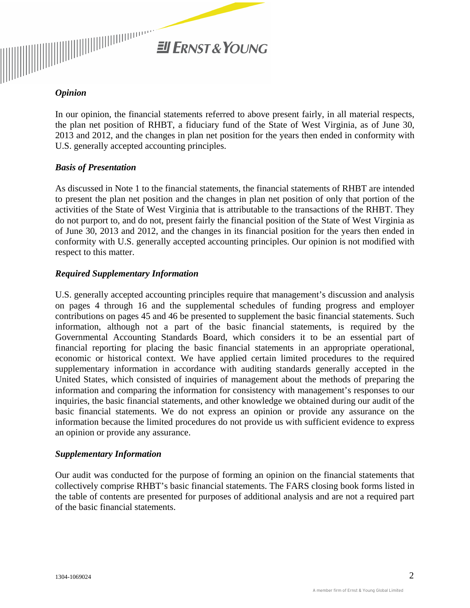

#### *Opinion*

In our opinion, the financial statements referred to above present fairly, in all material respects, the plan net position of RHBT, a fiduciary fund of the State of West Virginia, as of June 30, 2013 and 2012, and the changes in plan net position for the years then ended in conformity with U.S. generally accepted accounting principles.

#### *Basis of Presentation*

As discussed in Note 1 to the financial statements, the financial statements of RHBT are intended to present the plan net position and the changes in plan net position of only that portion of the activities of the State of West Virginia that is attributable to the transactions of the RHBT. They do not purport to, and do not, present fairly the financial position of the State of West Virginia as of June 30, 2013 and 2012, and the changes in its financial position for the years then ended in conformity with U.S. generally accepted accounting principles. Our opinion is not modified with respect to this matter.

#### *Required Supplementary Information*

U.S. generally accepted accounting principles require that management's discussion and analysis on pages 4 through 16 and the supplemental schedules of funding progress and employer contributions on pages 45 and 46 be presented to supplement the basic financial statements. Such information, although not a part of the basic financial statements, is required by the Governmental Accounting Standards Board, which considers it to be an essential part of financial reporting for placing the basic financial statements in an appropriate operational, economic or historical context. We have applied certain limited procedures to the required supplementary information in accordance with auditing standards generally accepted in the United States, which consisted of inquiries of management about the methods of preparing the information and comparing the information for consistency with management's responses to our inquiries, the basic financial statements, and other knowledge we obtained during our audit of the basic financial statements. We do not express an opinion or provide any assurance on the information because the limited procedures do not provide us with sufficient evidence to express an opinion or provide any assurance.

#### *Supplementary Information*

Our audit was conducted for the purpose of forming an opinion on the financial statements that collectively comprise RHBT's basic financial statements. The FARS closing book forms listed in the table of contents are presented for purposes of additional analysis and are not a required part of the basic financial statements.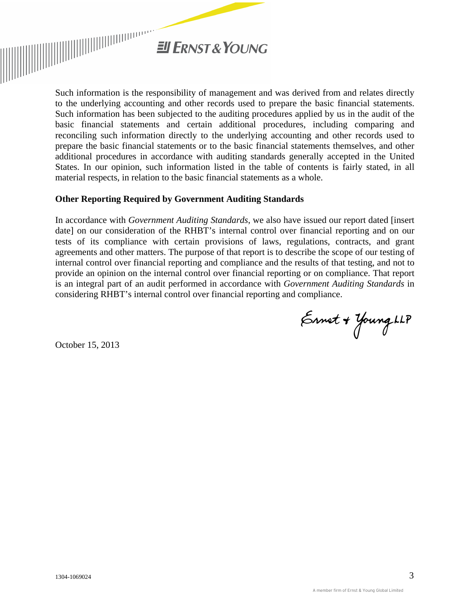

Such information is the responsibility of management and was derived from and relates directly to the underlying accounting and other records used to prepare the basic financial statements. Such information has been subjected to the auditing procedures applied by us in the audit of the basic financial statements and certain additional procedures, including comparing and reconciling such information directly to the underlying accounting and other records used to prepare the basic financial statements or to the basic financial statements themselves, and other additional procedures in accordance with auditing standards generally accepted in the United States. In our opinion, such information listed in the table of contents is fairly stated, in all material respects, in relation to the basic financial statements as a whole.

#### **Other Reporting Required by Government Auditing Standards**

In accordance with *Government Auditing Standards*, we also have issued our report dated [insert date] on our consideration of the RHBT's internal control over financial reporting and on our tests of its compliance with certain provisions of laws, regulations, contracts, and grant agreements and other matters. The purpose of that report is to describe the scope of our testing of internal control over financial reporting and compliance and the results of that testing, and not to provide an opinion on the internal control over financial reporting or on compliance. That report is an integral part of an audit performed in accordance with *Government Auditing Standards* in considering RHBT's internal control over financial reporting and compliance.

Ennet + Young LLP

October 15, 2013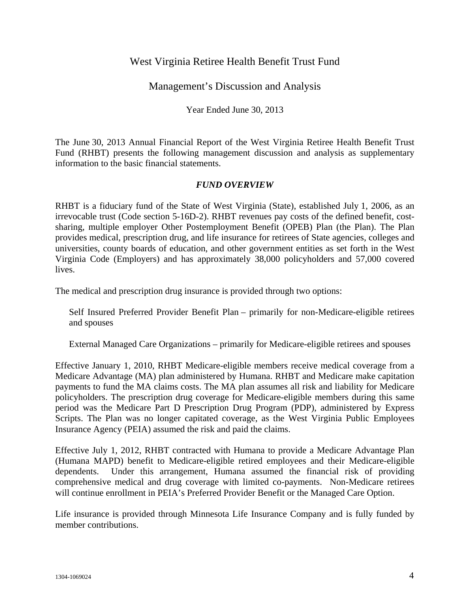### Management's Discussion and Analysis

#### Year Ended June 30, 2013

The June 30, 2013 Annual Financial Report of the West Virginia Retiree Health Benefit Trust Fund (RHBT) presents the following management discussion and analysis as supplementary information to the basic financial statements.

#### *FUND OVERVIEW*

RHBT is a fiduciary fund of the State of West Virginia (State), established July 1, 2006, as an irrevocable trust (Code section 5-16D-2). RHBT revenues pay costs of the defined benefit, costsharing, multiple employer Other Postemployment Benefit (OPEB) Plan (the Plan). The Plan provides medical, prescription drug, and life insurance for retirees of State agencies, colleges and universities, county boards of education, and other government entities as set forth in the West Virginia Code (Employers) and has approximately 38,000 policyholders and 57,000 covered lives.

The medical and prescription drug insurance is provided through two options:

Self Insured Preferred Provider Benefit Plan – primarily for non-Medicare-eligible retirees and spouses

External Managed Care Organizations – primarily for Medicare-eligible retirees and spouses

Effective January 1, 2010, RHBT Medicare-eligible members receive medical coverage from a Medicare Advantage (MA) plan administered by Humana. RHBT and Medicare make capitation payments to fund the MA claims costs. The MA plan assumes all risk and liability for Medicare policyholders. The prescription drug coverage for Medicare-eligible members during this same period was the Medicare Part D Prescription Drug Program (PDP), administered by Express Scripts. The Plan was no longer capitated coverage, as the West Virginia Public Employees Insurance Agency (PEIA) assumed the risk and paid the claims.

Effective July 1, 2012, RHBT contracted with Humana to provide a Medicare Advantage Plan (Humana MAPD) benefit to Medicare-eligible retired employees and their Medicare-eligible dependents. Under this arrangement, Humana assumed the financial risk of providing comprehensive medical and drug coverage with limited co-payments. Non-Medicare retirees will continue enrollment in PEIA's Preferred Provider Benefit or the Managed Care Option.

Life insurance is provided through Minnesota Life Insurance Company and is fully funded by member contributions.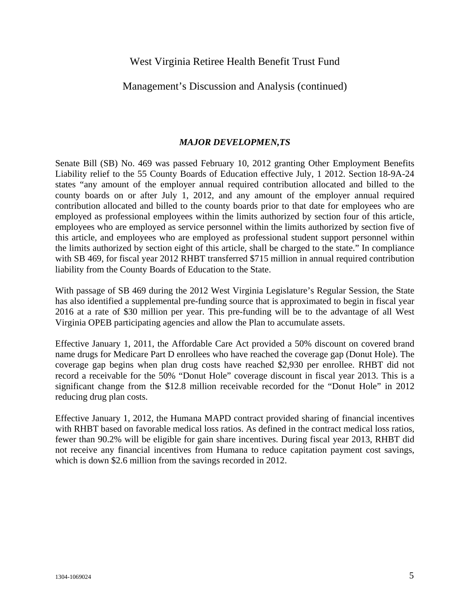### Management's Discussion and Analysis (continued)

#### *MAJOR DEVELOPMEN,TS*

Senate Bill (SB) No. 469 was passed February 10, 2012 granting Other Employment Benefits Liability relief to the 55 County Boards of Education effective July, 1 2012. Section 18-9A-24 states "any amount of the employer annual required contribution allocated and billed to the county boards on or after July 1, 2012, and any amount of the employer annual required contribution allocated and billed to the county boards prior to that date for employees who are employed as professional employees within the limits authorized by section four of this article, employees who are employed as service personnel within the limits authorized by section five of this article, and employees who are employed as professional student support personnel within the limits authorized by section eight of this article, shall be charged to the state." In compliance with SB 469, for fiscal year 2012 RHBT transferred \$715 million in annual required contribution liability from the County Boards of Education to the State.

With passage of SB 469 during the 2012 West Virginia Legislature's Regular Session, the State has also identified a supplemental pre-funding source that is approximated to begin in fiscal year 2016 at a rate of \$30 million per year. This pre-funding will be to the advantage of all West Virginia OPEB participating agencies and allow the Plan to accumulate assets.

Effective January 1, 2011, the Affordable Care Act provided a 50% discount on covered brand name drugs for Medicare Part D enrollees who have reached the coverage gap (Donut Hole). The coverage gap begins when plan drug costs have reached \$2,930 per enrollee. RHBT did not record a receivable for the 50% "Donut Hole" coverage discount in fiscal year 2013. This is a significant change from the \$12.8 million receivable recorded for the "Donut Hole" in 2012 reducing drug plan costs.

Effective January 1, 2012, the Humana MAPD contract provided sharing of financial incentives with RHBT based on favorable medical loss ratios. As defined in the contract medical loss ratios, fewer than 90.2% will be eligible for gain share incentives. During fiscal year 2013, RHBT did not receive any financial incentives from Humana to reduce capitation payment cost savings, which is down \$2.6 million from the savings recorded in 2012.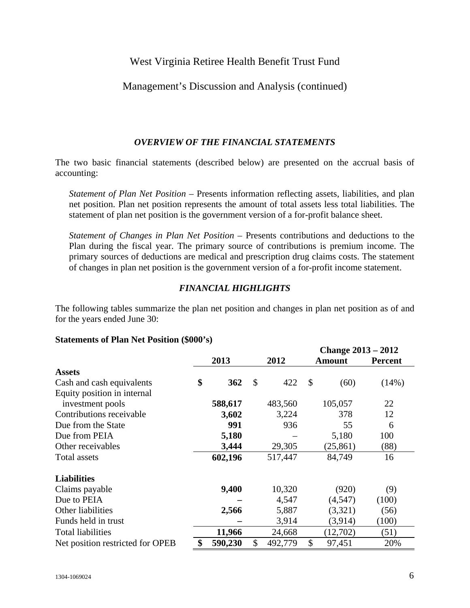## Management's Discussion and Analysis (continued)

#### *OVERVIEW OF THE FINANCIAL STATEMENTS*

The two basic financial statements (described below) are presented on the accrual basis of accounting:

*Statement of Plan Net Position* – Presents information reflecting assets, liabilities, and plan net position. Plan net position represents the amount of total assets less total liabilities. The statement of plan net position is the government version of a for-profit balance sheet.

*Statement of Changes in Plan Net Position* – Presents contributions and deductions to the Plan during the fiscal year. The primary source of contributions is premium income. The primary sources of deductions are medical and prescription drug claims costs. The statement of changes in plan net position is the government version of a for-profit income statement.

#### *FINANCIAL HIGHLIGHTS*

The following tables summarize the plan net position and changes in plan net position as of and for the years ended June 30:

#### **Statements of Plan Net Position (\$000's)**

|                                  |               |               |         |               | <b>Change 2013 – 2012</b> |                |
|----------------------------------|---------------|---------------|---------|---------------|---------------------------|----------------|
|                                  | 2013          |               | 2012    |               | <b>Amount</b>             | <b>Percent</b> |
| <b>Assets</b>                    |               |               |         |               |                           |                |
| Cash and cash equivalents        | \$<br>362     | $\mathcal{S}$ | 422     | $\mathcal{S}$ | (60)                      | (14%)          |
| Equity position in internal      |               |               |         |               |                           |                |
| investment pools                 | 588,617       |               | 483,560 |               | 105,057                   | 22             |
| Contributions receivable         | 3,602         |               | 3,224   |               | 378                       | 12             |
| Due from the State               | 991           |               | 936     |               | 55                        | 6              |
| Due from PEIA                    | 5,180         |               |         |               | 5,180                     | 100            |
| Other receivables                | 3,444         |               | 29,305  |               | (25, 861)                 | (88)           |
| Total assets                     | 602,196       |               | 517,447 |               | 84,749                    | 16             |
| <b>Liabilities</b>               |               |               |         |               |                           |                |
| Claims payable                   | 9,400         |               | 10,320  |               | (920)                     | (9)            |
| Due to PEIA                      |               |               | 4,547   |               | (4,547)                   | (100)          |
| Other liabilities                | 2,566         |               | 5,887   |               | (3,321)                   | (56)           |
| Funds held in trust              |               |               | 3,914   |               | (3,914)                   | (100)          |
| <b>Total liabilities</b>         | 11,966        |               | 24,668  |               | (12,702)                  | (51)           |
| Net position restricted for OPEB | \$<br>590,230 | \$            | 492,779 | \$            | 97,451                    | 20%            |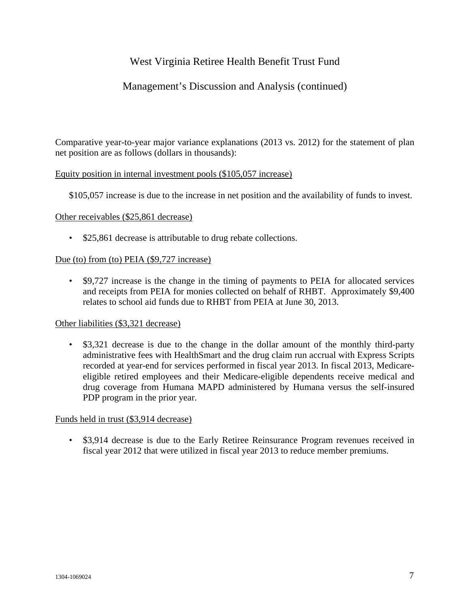## Management's Discussion and Analysis (continued)

Comparative year-to-year major variance explanations (2013 vs. 2012) for the statement of plan net position are as follows (dollars in thousands):

#### Equity position in internal investment pools (\$105,057 increase)

\$105,057 increase is due to the increase in net position and the availability of funds to invest.

#### Other receivables (\$25,861 decrease)

• \$25,861 decrease is attributable to drug rebate collections.

#### Due (to) from (to) PEIA (\$9,727 increase)

• \$9,727 increase is the change in the timing of payments to PEIA for allocated services and receipts from PEIA for monies collected on behalf of RHBT. Approximately \$9,400 relates to school aid funds due to RHBT from PEIA at June 30, 2013.

#### Other liabilities (\$3,321 decrease)

• \$3,321 decrease is due to the change in the dollar amount of the monthly third-party administrative fees with HealthSmart and the drug claim run accrual with Express Scripts recorded at year-end for services performed in fiscal year 2013. In fiscal 2013, Medicareeligible retired employees and their Medicare-eligible dependents receive medical and drug coverage from Humana MAPD administered by Humana versus the self-insured PDP program in the prior year.

#### Funds held in trust (\$3,914 decrease)

• \$3,914 decrease is due to the Early Retiree Reinsurance Program revenues received in fiscal year 2012 that were utilized in fiscal year 2013 to reduce member premiums.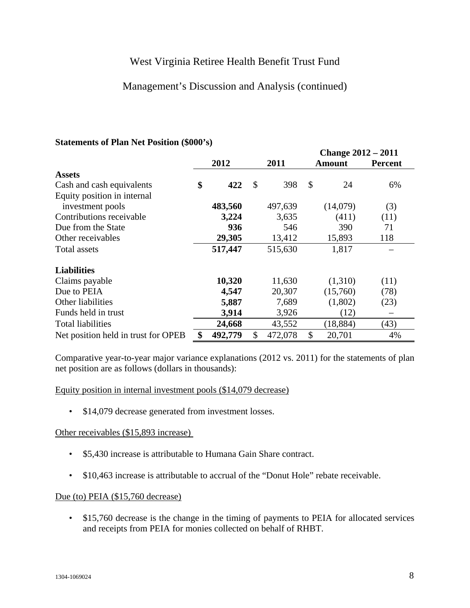## Management's Discussion and Analysis (continued)

|                                     |               |               |               | <b>Change 2012 – 2011</b> |                |
|-------------------------------------|---------------|---------------|---------------|---------------------------|----------------|
|                                     | 2012          | 2011          |               | <b>Amount</b>             | <b>Percent</b> |
| <b>Assets</b>                       |               |               |               |                           |                |
| Cash and cash equivalents           | \$<br>422     | \$<br>398     | $\mathcal{S}$ | 24                        | 6%             |
| Equity position in internal         |               |               |               |                           |                |
| investment pools                    | 483,560       | 497,639       |               | (14,079)                  | (3)            |
| Contributions receivable            | 3,224         | 3,635         |               | (411)                     | (11)           |
| Due from the State                  | 936           | 546           |               | 390                       | 71             |
| Other receivables                   | 29,305        | 13,412        |               | 15,893                    | 118            |
| Total assets                        | 517,447       | 515,630       |               | 1,817                     |                |
| <b>Liabilities</b>                  |               |               |               |                           |                |
| Claims payable                      | 10,320        | 11,630        |               | (1,310)                   | (11)           |
| Due to PEIA                         | 4,547         | 20,307        |               | (15,760)                  | (78)           |
| Other liabilities                   | 5,887         | 7,689         |               | (1,802)                   | (23)           |
| Funds held in trust                 | 3,914         | 3,926         |               | (12)                      |                |
| <b>Total liabilities</b>            | 24,668        | 43,552        |               | (18, 884)                 | (43)           |
| Net position held in trust for OPEB | \$<br>492,779 | \$<br>472,078 | \$            | 20,701                    | 4%             |

#### **Statements of Plan Net Position (\$000's)**

Comparative year-to-year major variance explanations (2012 vs. 2011) for the statements of plan net position are as follows (dollars in thousands):

#### Equity position in internal investment pools (\$14,079 decrease)

• \$14,079 decrease generated from investment losses.

Other receivables (\$15,893 increase)

- \$5,430 increase is attributable to Humana Gain Share contract.
- \$10,463 increase is attributable to accrual of the "Donut Hole" rebate receivable.

#### Due (to) PEIA (\$15,760 decrease)

• \$15,760 decrease is the change in the timing of payments to PEIA for allocated services and receipts from PEIA for monies collected on behalf of RHBT.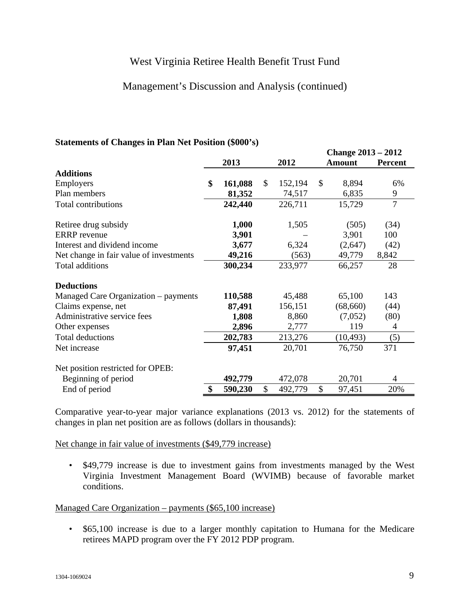## Management's Discussion and Analysis (continued)

## **Change 2013 – 2012 2013 2012 Amount Percent Additions**  Employers **\$ 161,088** \$ 152,194 \$ 8,894 6% Plan members **81,352** 74,517 6,835 9 Total contributions **242,440** 226,711 15,729 Retiree drug subsidy **1,000** 1,505 (505) (34) ERRP revenue **3,901** – 3,901 100 Interest and dividend income **3,677** 6,324 (2,647) (42) Net change in fair value of investments **49,216** (563) 49,779 8,842 Total additions **300,234** 233,977 66,257 28 **Deductions**  Managed Care Organization – payments **110,588** 45,488 65,100 143 Claims expense, net **87,491** 156,151 (68,660) (44) Administrative service fees **1,808** 8,860 (7,052) (80) Other expenses **2,896** 2,777 119 4 Total deductions **202,783** 213,276 (10,493) (5) Net increase **97,451** 20,701 76,750 371 Net position restricted for OPEB: Beginning of period **492,779** 472,078 20,701 4 End of period **\$ 590,230** \, \$ 492,779 \, \$ 97,451 20\%

#### **Statements of Changes in Plan Net Position (\$000's)**

Comparative year-to-year major variance explanations (2013 vs. 2012) for the statements of changes in plan net position are as follows (dollars in thousands):

Net change in fair value of investments (\$49,779 increase)

• \$49,779 increase is due to investment gains from investments managed by the West Virginia Investment Management Board (WVIMB) because of favorable market conditions.

#### Managed Care Organization – payments (\$65,100 increase)

• \$65,100 increase is due to a larger monthly capitation to Humana for the Medicare retirees MAPD program over the FY 2012 PDP program.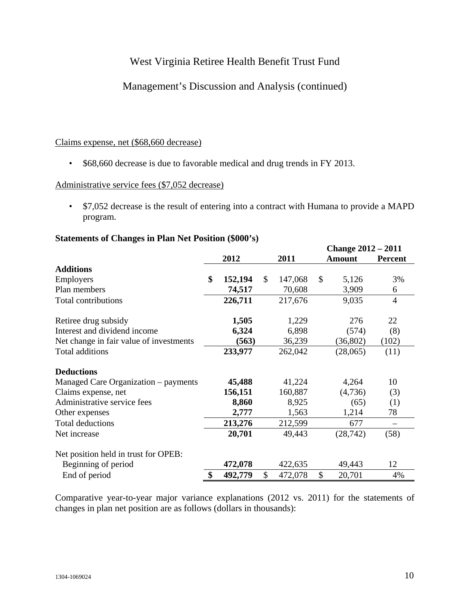## Management's Discussion and Analysis (continued)

#### Claims expense, net (\$68,660 decrease)

• \$68,660 decrease is due to favorable medical and drug trends in FY 2013.

#### Administrative service fees (\$7,052 decrease)

• \$7,052 decrease is the result of entering into a contract with Humana to provide a MAPD program.

#### **Statements of Changes in Plan Net Position (\$000's)**

|                                         |               |               | <b>Change 2012 – 2011</b> |                          |
|-----------------------------------------|---------------|---------------|---------------------------|--------------------------|
|                                         | 2012          | 2011          | <b>Amount</b>             | <b>Percent</b>           |
| <b>Additions</b>                        |               |               |                           |                          |
| Employers                               | \$<br>152,194 | \$<br>147,068 | \$<br>5,126               | 3%                       |
| Plan members                            | 74,517        | 70,608        | 3,909                     | 6                        |
| Total contributions                     | 226,711       | 217,676       | 9,035                     | $\overline{4}$           |
| Retiree drug subsidy                    | 1,505         | 1,229         | 276                       | 22                       |
| Interest and dividend income            | 6,324         | 6,898         | (574)                     | (8)                      |
| Net change in fair value of investments | (563)         | 36,239        | (36, 802)                 | (102)                    |
| Total additions                         | 233,977       | 262,042       | (28,065)                  | (11)                     |
| <b>Deductions</b>                       |               |               |                           |                          |
| Managed Care Organization – payments    | 45,488        | 41,224        | 4,264                     | 10                       |
| Claims expense, net                     | 156,151       | 160,887       | (4,736)                   | (3)                      |
| Administrative service fees             | 8,860         | 8,925         | (65)                      | (1)                      |
| Other expenses                          | 2,777         | 1,563         | 1,214                     | 78                       |
| <b>Total deductions</b>                 | 213,276       | 212,599       | 677                       | $\overline{\phantom{a}}$ |
| Net increase                            | 20,701        | 49,443        | (28, 742)                 | (58)                     |
| Net position held in trust for OPEB:    |               |               |                           |                          |
| Beginning of period                     | 472,078       | 422,635       | 49,443                    | 12                       |
| End of period                           | \$<br>492,779 | \$<br>472,078 | \$<br>20,701              | 4%                       |

Comparative year-to-year major variance explanations (2012 vs. 2011) for the statements of changes in plan net position are as follows (dollars in thousands):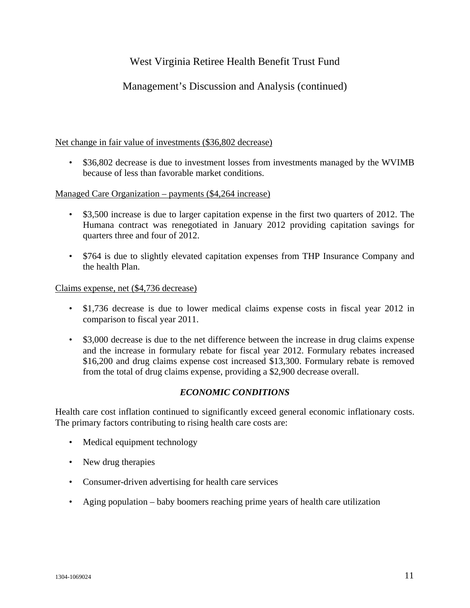## Management's Discussion and Analysis (continued)

#### Net change in fair value of investments (\$36,802 decrease)

• \$36,802 decrease is due to investment losses from investments managed by the WVIMB because of less than favorable market conditions.

#### Managed Care Organization – payments (\$4,264 increase)

- \$3,500 increase is due to larger capitation expense in the first two quarters of 2012. The Humana contract was renegotiated in January 2012 providing capitation savings for quarters three and four of 2012.
- \$764 is due to slightly elevated capitation expenses from THP Insurance Company and the health Plan.

#### Claims expense, net (\$4,736 decrease)

- \$1,736 decrease is due to lower medical claims expense costs in fiscal year 2012 in comparison to fiscal year 2011.
- \$3,000 decrease is due to the net difference between the increase in drug claims expense and the increase in formulary rebate for fiscal year 2012. Formulary rebates increased \$16,200 and drug claims expense cost increased \$13,300. Formulary rebate is removed from the total of drug claims expense, providing a \$2,900 decrease overall.

### *ECONOMIC CONDITIONS*

Health care cost inflation continued to significantly exceed general economic inflationary costs. The primary factors contributing to rising health care costs are:

- Medical equipment technology
- New drug therapies
- Consumer-driven advertising for health care services
- Aging population baby boomers reaching prime years of health care utilization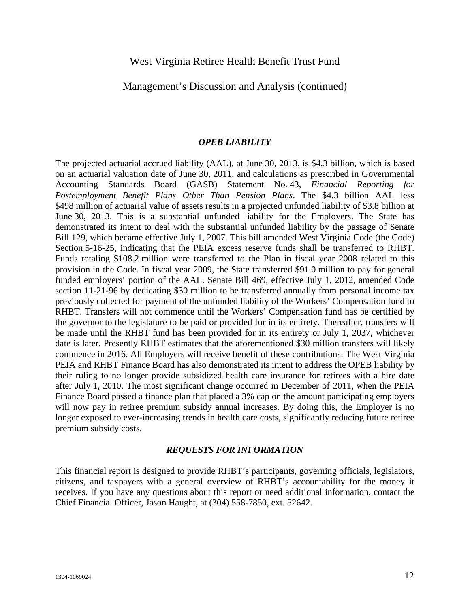#### Management's Discussion and Analysis (continued)

#### *OPEB LIABILITY*

The projected actuarial accrued liability (AAL), at June 30, 2013, is \$4.3 billion, which is based on an actuarial valuation date of June 30, 2011, and calculations as prescribed in Governmental Accounting Standards Board (GASB) Statement No. 43, *Financial Reporting for Postemployment Benefit Plans Other Than Pension Plans*. The \$4.3 billion AAL less \$498 million of actuarial value of assets results in a projected unfunded liability of \$3.8 billion at June 30, 2013. This is a substantial unfunded liability for the Employers. The State has demonstrated its intent to deal with the substantial unfunded liability by the passage of Senate Bill 129, which became effective July 1, 2007. This bill amended West Virginia Code (the Code) Section 5-16-25, indicating that the PEIA excess reserve funds shall be transferred to RHBT. Funds totaling \$108.2 million were transferred to the Plan in fiscal year 2008 related to this provision in the Code. In fiscal year 2009, the State transferred \$91.0 million to pay for general funded employers' portion of the AAL. Senate Bill 469, effective July 1, 2012, amended Code section 11-21-96 by dedicating \$30 million to be transferred annually from personal income tax previously collected for payment of the unfunded liability of the Workers' Compensation fund to RHBT. Transfers will not commence until the Workers' Compensation fund has be certified by the governor to the legislature to be paid or provided for in its entirety. Thereafter, transfers will be made until the RHBT fund has been provided for in its entirety or July 1, 2037, whichever date is later. Presently RHBT estimates that the aforementioned \$30 million transfers will likely commence in 2016. All Employers will receive benefit of these contributions. The West Virginia PEIA and RHBT Finance Board has also demonstrated its intent to address the OPEB liability by their ruling to no longer provide subsidized health care insurance for retirees with a hire date after July 1, 2010. The most significant change occurred in December of 2011, when the PEIA Finance Board passed a finance plan that placed a 3% cap on the amount participating employers will now pay in retiree premium subsidy annual increases. By doing this, the Employer is no longer exposed to ever-increasing trends in health care costs, significantly reducing future retiree premium subsidy costs.

#### *REQUESTS FOR INFORMATION*

This financial report is designed to provide RHBT's participants, governing officials, legislators, citizens, and taxpayers with a general overview of RHBT's accountability for the money it receives. If you have any questions about this report or need additional information, contact the Chief Financial Officer, Jason Haught, at (304) 558-7850, ext. 52642.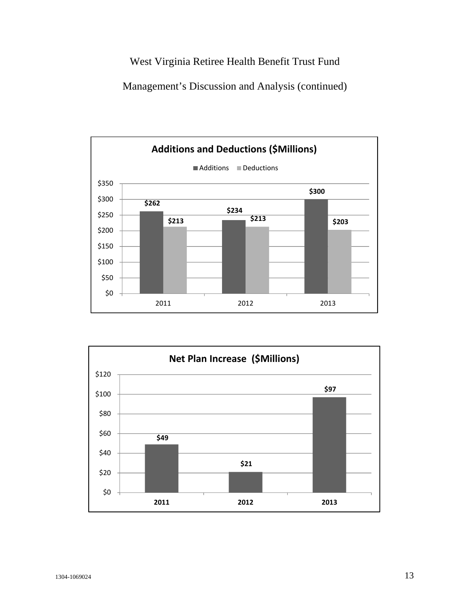Management's Discussion and Analysis (continued)



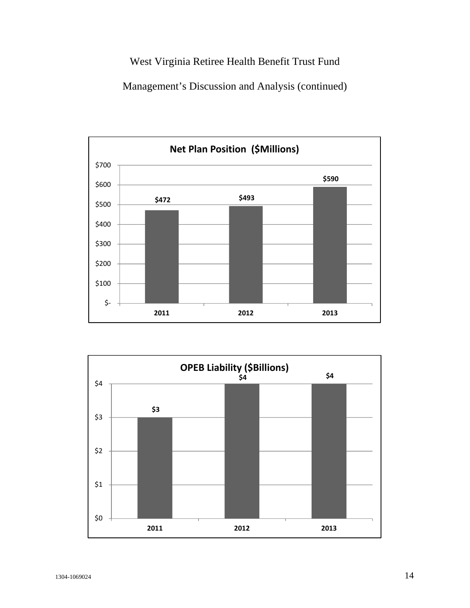Management's Discussion and Analysis (continued)



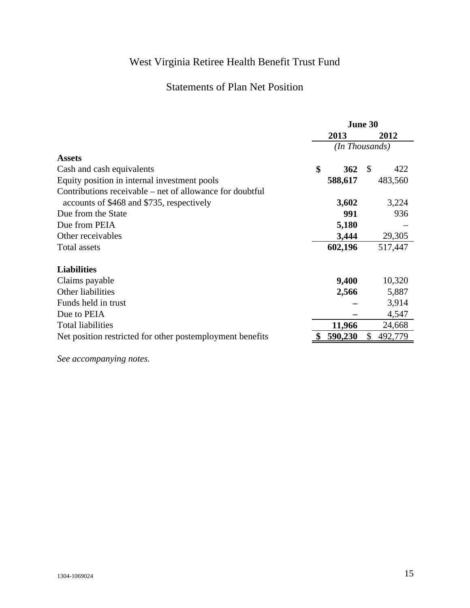## Statements of Plan Net Position

| 2013<br>2012<br>(In Thousands)<br><b>Assets</b><br>\$<br>\$<br>362<br>Cash and cash equivalents<br>Equity position in internal investment pools<br>588,617<br>Contributions receivable – net of allowance for doubtful<br>accounts of \$468 and \$735, respectively<br>3,602<br>Due from the State<br>991<br>Due from PEIA<br>5,180<br>Other receivables |       | June 30 |  |  |
|----------------------------------------------------------------------------------------------------------------------------------------------------------------------------------------------------------------------------------------------------------------------------------------------------------------------------------------------------------|-------|---------|--|--|
|                                                                                                                                                                                                                                                                                                                                                          |       |         |  |  |
|                                                                                                                                                                                                                                                                                                                                                          |       |         |  |  |
|                                                                                                                                                                                                                                                                                                                                                          |       |         |  |  |
|                                                                                                                                                                                                                                                                                                                                                          |       | 422     |  |  |
|                                                                                                                                                                                                                                                                                                                                                          |       | 483,560 |  |  |
|                                                                                                                                                                                                                                                                                                                                                          |       |         |  |  |
|                                                                                                                                                                                                                                                                                                                                                          |       | 3,224   |  |  |
|                                                                                                                                                                                                                                                                                                                                                          |       | 936     |  |  |
|                                                                                                                                                                                                                                                                                                                                                          |       |         |  |  |
|                                                                                                                                                                                                                                                                                                                                                          | 3,444 | 29,305  |  |  |
| <b>Total assets</b><br>602,196                                                                                                                                                                                                                                                                                                                           |       | 517,447 |  |  |
|                                                                                                                                                                                                                                                                                                                                                          |       |         |  |  |
| <b>Liabilities</b>                                                                                                                                                                                                                                                                                                                                       |       |         |  |  |
| 9,400<br>Claims payable                                                                                                                                                                                                                                                                                                                                  |       | 10,320  |  |  |
| Other liabilities<br>2,566                                                                                                                                                                                                                                                                                                                               |       | 5,887   |  |  |
| Funds held in trust                                                                                                                                                                                                                                                                                                                                      |       | 3,914   |  |  |
| Due to PEIA                                                                                                                                                                                                                                                                                                                                              |       | 4,547   |  |  |
| <b>Total liabilities</b><br>11,966                                                                                                                                                                                                                                                                                                                       |       | 24,668  |  |  |
| Net position restricted for other postemployment benefits<br>590,230<br>S                                                                                                                                                                                                                                                                                |       | 492,779 |  |  |

*See accompanying notes.*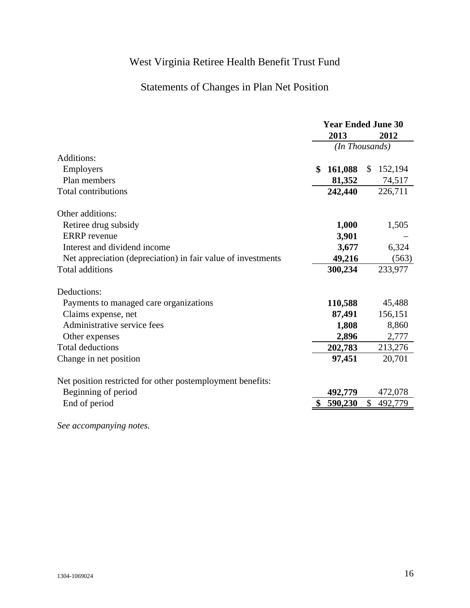# Statements of Changes in Plan Net Position

|                                                              | <b>Year Ended June 30</b> |                |  |
|--------------------------------------------------------------|---------------------------|----------------|--|
|                                                              | 2013                      | 2012           |  |
|                                                              |                           | (In Thousands) |  |
| Additions:                                                   |                           |                |  |
| Employers                                                    | 161,088<br>\$             | 152,194<br>S   |  |
| Plan members                                                 | 81,352                    | 74,517         |  |
| <b>Total contributions</b>                                   | 242,440                   | 226,711        |  |
| Other additions:                                             |                           |                |  |
| Retiree drug subsidy                                         | 1,000                     | 1,505          |  |
| <b>ERRP</b> revenue                                          | 3,901                     |                |  |
| Interest and dividend income                                 | 3,677                     | 6,324          |  |
| Net appreciation (depreciation) in fair value of investments | 49,216                    | (563)          |  |
| Total additions                                              | 300,234                   | 233,977        |  |
| Deductions:                                                  |                           |                |  |
| Payments to managed care organizations                       | 110,588                   | 45,488         |  |
| Claims expense, net                                          | 87,491                    | 156,151        |  |
| Administrative service fees                                  | 1,808                     | 8,860          |  |
| Other expenses                                               | 2,896                     | 2,777          |  |
| <b>Total deductions</b>                                      | 202,783                   | 213,276        |  |
| Change in net position                                       | 97,451                    | 20,701         |  |
| Net position restricted for other postemployment benefits:   |                           |                |  |
| Beginning of period                                          | 492,779                   | 472,078        |  |
| End of period                                                | 590,230                   | \$<br>492,779  |  |
|                                                              |                           |                |  |

*See accompanying notes.*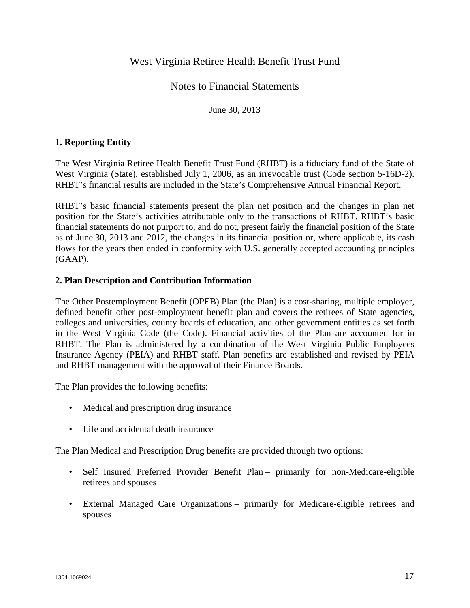## Notes to Financial Statements

June 30, 2013

#### **1. Reporting Entity**

The West Virginia Retiree Health Benefit Trust Fund (RHBT) is a fiduciary fund of the State of West Virginia (State), established July 1, 2006, as an irrevocable trust (Code section 5-16D-2). RHBT's financial results are included in the State's Comprehensive Annual Financial Report.

RHBT's basic financial statements present the plan net position and the changes in plan net position for the State's activities attributable only to the transactions of RHBT. RHBT's basic financial statements do not purport to, and do not, present fairly the financial position of the State as of June 30, 2013 and 2012, the changes in its financial position or, where applicable, its cash flows for the years then ended in conformity with U.S. generally accepted accounting principles (GAAP).

#### **2. Plan Description and Contribution Information**

The Other Postemployment Benefit (OPEB) Plan (the Plan) is a cost-sharing, multiple employer, defined benefit other post-employment benefit plan and covers the retirees of State agencies, colleges and universities, county boards of education, and other government entities as set forth in the West Virginia Code (the Code). Financial activities of the Plan are accounted for in RHBT. The Plan is administered by a combination of the West Virginia Public Employees Insurance Agency (PEIA) and RHBT staff. Plan benefits are established and revised by PEIA and RHBT management with the approval of their Finance Boards.

The Plan provides the following benefits:

- Medical and prescription drug insurance
- Life and accidental death insurance

The Plan Medical and Prescription Drug benefits are provided through two options:

- Self Insured Preferred Provider Benefit Plan primarily for non-Medicare-eligible retirees and spouses
- External Managed Care Organizations primarily for Medicare-eligible retirees and spouses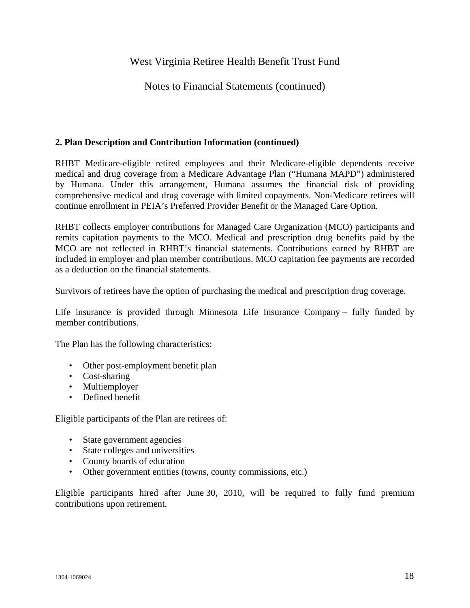## Notes to Financial Statements (continued)

#### **2. Plan Description and Contribution Information (continued)**

RHBT Medicare-eligible retired employees and their Medicare-eligible dependents receive medical and drug coverage from a Medicare Advantage Plan ("Humana MAPD") administered by Humana. Under this arrangement, Humana assumes the financial risk of providing comprehensive medical and drug coverage with limited copayments. Non-Medicare retirees will continue enrollment in PEIA's Preferred Provider Benefit or the Managed Care Option.

RHBT collects employer contributions for Managed Care Organization (MCO) participants and remits capitation payments to the MCO. Medical and prescription drug benefits paid by the MCO are not reflected in RHBT's financial statements. Contributions earned by RHBT are included in employer and plan member contributions. MCO capitation fee payments are recorded as a deduction on the financial statements.

Survivors of retirees have the option of purchasing the medical and prescription drug coverage.

Life insurance is provided through Minnesota Life Insurance Company – fully funded by member contributions.

The Plan has the following characteristics:

- Other post-employment benefit plan
- Cost-sharing
- Multiemployer
- Defined benefit

Eligible participants of the Plan are retirees of:

- State government agencies
- State colleges and universities
- County boards of education
- Other government entities (towns, county commissions, etc.)

Eligible participants hired after June 30, 2010, will be required to fully fund premium contributions upon retirement.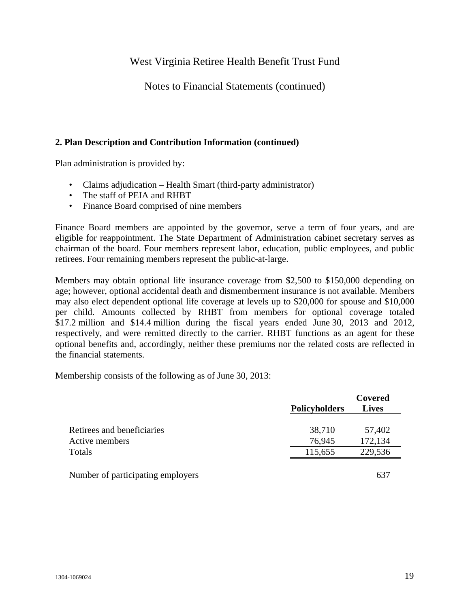Notes to Financial Statements (continued)

#### **2. Plan Description and Contribution Information (continued)**

Plan administration is provided by:

- Claims adjudication Health Smart (third-party administrator)
- The staff of PEIA and RHBT
- Finance Board comprised of nine members

Finance Board members are appointed by the governor, serve a term of four years, and are eligible for reappointment. The State Department of Administration cabinet secretary serves as chairman of the board. Four members represent labor, education, public employees, and public retirees. Four remaining members represent the public-at-large.

Members may obtain optional life insurance coverage from \$2,500 to \$150,000 depending on age; however, optional accidental death and dismemberment insurance is not available. Members may also elect dependent optional life coverage at levels up to \$20,000 for spouse and \$10,000 per child. Amounts collected by RHBT from members for optional coverage totaled \$17.2 million and \$14.4 million during the fiscal years ended June 30, 2013 and 2012, respectively, and were remitted directly to the carrier. RHBT functions as an agent for these optional benefits and, accordingly, neither these premiums nor the related costs are reflected in the financial statements.

Membership consists of the following as of June 30, 2013:

|                            | <b>Policyholders</b> | Covered<br><b>Lives</b> |
|----------------------------|----------------------|-------------------------|
| Retirees and beneficiaries | 38,710               | 57,402                  |
| Active members             | 76,945               | 172,134                 |
| Totals                     | 115,655              | 229,536                 |
|                            |                      |                         |

Number of participating employers 637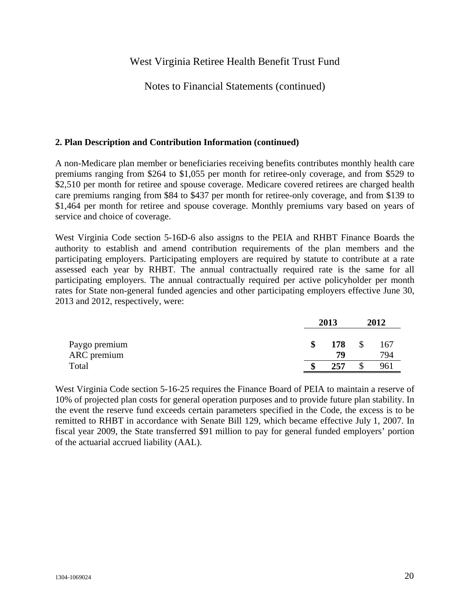Notes to Financial Statements (continued)

#### **2. Plan Description and Contribution Information (continued)**

A non-Medicare plan member or beneficiaries receiving benefits contributes monthly health care premiums ranging from \$264 to \$1,055 per month for retiree-only coverage, and from \$529 to \$2,510 per month for retiree and spouse coverage. Medicare covered retirees are charged health care premiums ranging from \$84 to \$437 per month for retiree-only coverage, and from \$139 to \$1,464 per month for retiree and spouse coverage. Monthly premiums vary based on years of service and choice of coverage.

West Virginia Code section 5-16D-6 also assigns to the PEIA and RHBT Finance Boards the authority to establish and amend contribution requirements of the plan members and the participating employers. Participating employers are required by statute to contribute at a rate assessed each year by RHBT. The annual contractually required rate is the same for all participating employers. The annual contractually required per active policyholder per month rates for State non-general funded agencies and other participating employers effective June 30, 2013 and 2012, respectively, were:

|                              |    | 2013      |                           | 2012       |  |
|------------------------------|----|-----------|---------------------------|------------|--|
| Paygo premium<br>ARC premium | -S | 178<br>70 | $\mathcal{S}$             | 167<br>794 |  |
| Total                        | S  | 257       | $\boldsymbol{\mathsf{S}}$ | 961        |  |

West Virginia Code section 5-16-25 requires the Finance Board of PEIA to maintain a reserve of 10% of projected plan costs for general operation purposes and to provide future plan stability. In the event the reserve fund exceeds certain parameters specified in the Code, the excess is to be remitted to RHBT in accordance with Senate Bill 129, which became effective July 1, 2007. In fiscal year 2009, the State transferred \$91 million to pay for general funded employers' portion of the actuarial accrued liability (AAL).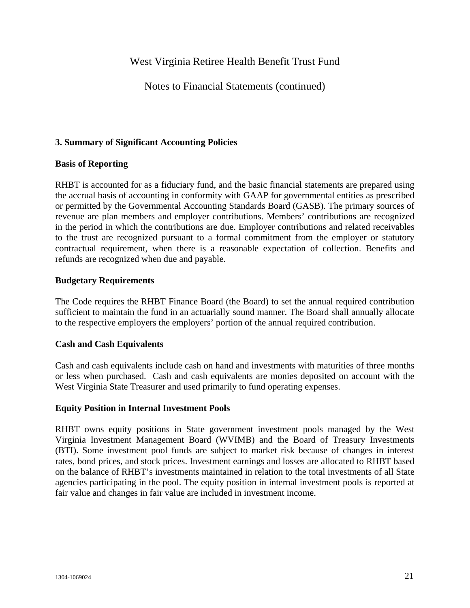Notes to Financial Statements (continued)

#### **3. Summary of Significant Accounting Policies**

#### **Basis of Reporting**

RHBT is accounted for as a fiduciary fund, and the basic financial statements are prepared using the accrual basis of accounting in conformity with GAAP for governmental entities as prescribed or permitted by the Governmental Accounting Standards Board (GASB). The primary sources of revenue are plan members and employer contributions. Members' contributions are recognized in the period in which the contributions are due. Employer contributions and related receivables to the trust are recognized pursuant to a formal commitment from the employer or statutory contractual requirement, when there is a reasonable expectation of collection. Benefits and refunds are recognized when due and payable.

#### **Budgetary Requirements**

The Code requires the RHBT Finance Board (the Board) to set the annual required contribution sufficient to maintain the fund in an actuarially sound manner. The Board shall annually allocate to the respective employers the employers' portion of the annual required contribution.

#### **Cash and Cash Equivalents**

Cash and cash equivalents include cash on hand and investments with maturities of three months or less when purchased. Cash and cash equivalents are monies deposited on account with the West Virginia State Treasurer and used primarily to fund operating expenses.

#### **Equity Position in Internal Investment Pools**

RHBT owns equity positions in State government investment pools managed by the West Virginia Investment Management Board (WVIMB) and the Board of Treasury Investments (BTI). Some investment pool funds are subject to market risk because of changes in interest rates, bond prices, and stock prices. Investment earnings and losses are allocated to RHBT based on the balance of RHBT's investments maintained in relation to the total investments of all State agencies participating in the pool. The equity position in internal investment pools is reported at fair value and changes in fair value are included in investment income.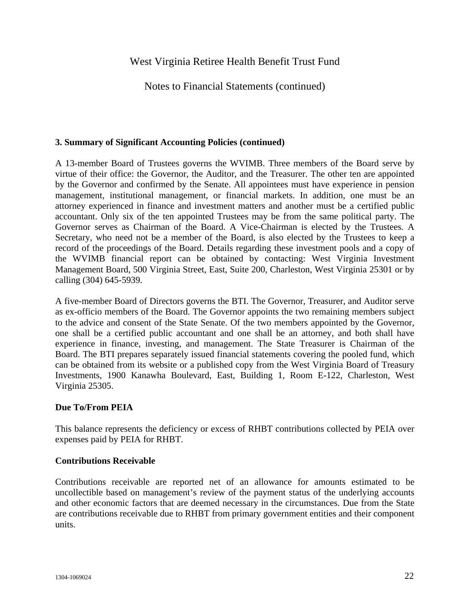Notes to Financial Statements (continued)

#### **3. Summary of Significant Accounting Policies (continued)**

A 13-member Board of Trustees governs the WVIMB. Three members of the Board serve by virtue of their office: the Governor, the Auditor, and the Treasurer. The other ten are appointed by the Governor and confirmed by the Senate. All appointees must have experience in pension management, institutional management, or financial markets. In addition, one must be an attorney experienced in finance and investment matters and another must be a certified public accountant. Only six of the ten appointed Trustees may be from the same political party. The Governor serves as Chairman of the Board. A Vice-Chairman is elected by the Trustees. A Secretary, who need not be a member of the Board, is also elected by the Trustees to keep a record of the proceedings of the Board. Details regarding these investment pools and a copy of the WVIMB financial report can be obtained by contacting: West Virginia Investment Management Board, 500 Virginia Street, East, Suite 200, Charleston, West Virginia 25301 or by calling (304) 645-5939.

A five-member Board of Directors governs the BTI. The Governor, Treasurer, and Auditor serve as ex-officio members of the Board. The Governor appoints the two remaining members subject to the advice and consent of the State Senate. Of the two members appointed by the Governor, one shall be a certified public accountant and one shall be an attorney, and both shall have experience in finance, investing, and management. The State Treasurer is Chairman of the Board. The BTI prepares separately issued financial statements covering the pooled fund, which can be obtained from its website or a published copy from the West Virginia Board of Treasury Investments, 1900 Kanawha Boulevard, East, Building 1, Room E-122, Charleston, West Virginia 25305.

### **Due To/From PEIA**

This balance represents the deficiency or excess of RHBT contributions collected by PEIA over expenses paid by PEIA for RHBT.

#### **Contributions Receivable**

Contributions receivable are reported net of an allowance for amounts estimated to be uncollectible based on management's review of the payment status of the underlying accounts and other economic factors that are deemed necessary in the circumstances. Due from the State are contributions receivable due to RHBT from primary government entities and their component units.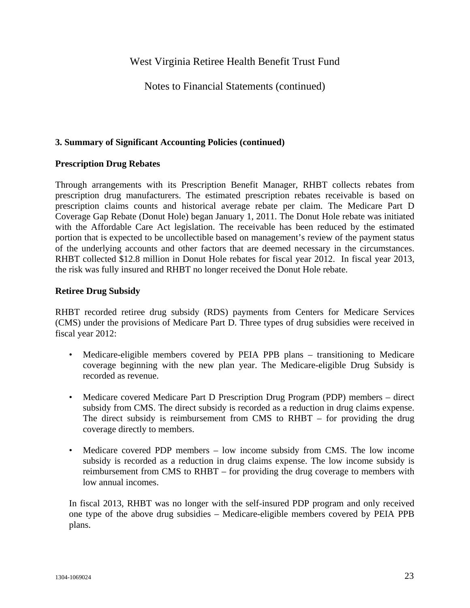Notes to Financial Statements (continued)

#### **3. Summary of Significant Accounting Policies (continued)**

#### **Prescription Drug Rebates**

Through arrangements with its Prescription Benefit Manager, RHBT collects rebates from prescription drug manufacturers. The estimated prescription rebates receivable is based on prescription claims counts and historical average rebate per claim. The Medicare Part D Coverage Gap Rebate (Donut Hole) began January 1, 2011. The Donut Hole rebate was initiated with the Affordable Care Act legislation. The receivable has been reduced by the estimated portion that is expected to be uncollectible based on management's review of the payment status of the underlying accounts and other factors that are deemed necessary in the circumstances. RHBT collected \$12.8 million in Donut Hole rebates for fiscal year 2012. In fiscal year 2013, the risk was fully insured and RHBT no longer received the Donut Hole rebate.

#### **Retiree Drug Subsidy**

RHBT recorded retiree drug subsidy (RDS) payments from Centers for Medicare Services (CMS) under the provisions of Medicare Part D. Three types of drug subsidies were received in fiscal year 2012:

- Medicare-eligible members covered by PEIA PPB plans transitioning to Medicare coverage beginning with the new plan year. The Medicare-eligible Drug Subsidy is recorded as revenue.
- Medicare covered Medicare Part D Prescription Drug Program (PDP) members direct subsidy from CMS. The direct subsidy is recorded as a reduction in drug claims expense. The direct subsidy is reimbursement from CMS to RHBT – for providing the drug coverage directly to members.
- Medicare covered PDP members low income subsidy from CMS. The low income subsidy is recorded as a reduction in drug claims expense. The low income subsidy is reimbursement from CMS to RHBT – for providing the drug coverage to members with low annual incomes.

In fiscal 2013, RHBT was no longer with the self-insured PDP program and only received one type of the above drug subsidies – Medicare-eligible members covered by PEIA PPB plans.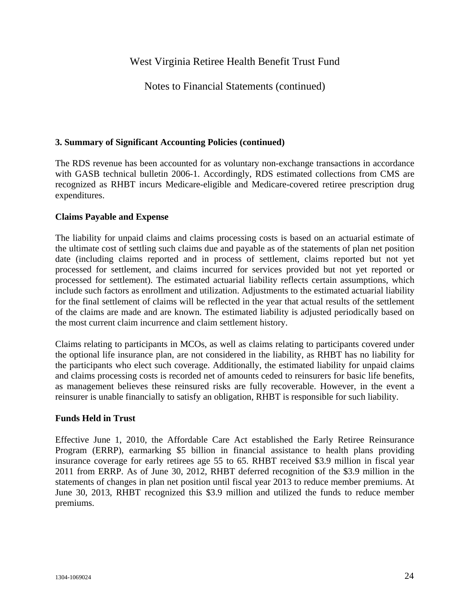Notes to Financial Statements (continued)

#### **3. Summary of Significant Accounting Policies (continued)**

The RDS revenue has been accounted for as voluntary non-exchange transactions in accordance with GASB technical bulletin 2006-1. Accordingly, RDS estimated collections from CMS are recognized as RHBT incurs Medicare-eligible and Medicare-covered retiree prescription drug expenditures.

#### **Claims Payable and Expense**

The liability for unpaid claims and claims processing costs is based on an actuarial estimate of the ultimate cost of settling such claims due and payable as of the statements of plan net position date (including claims reported and in process of settlement, claims reported but not yet processed for settlement, and claims incurred for services provided but not yet reported or processed for settlement). The estimated actuarial liability reflects certain assumptions, which include such factors as enrollment and utilization. Adjustments to the estimated actuarial liability for the final settlement of claims will be reflected in the year that actual results of the settlement of the claims are made and are known. The estimated liability is adjusted periodically based on the most current claim incurrence and claim settlement history.

Claims relating to participants in MCOs, as well as claims relating to participants covered under the optional life insurance plan, are not considered in the liability, as RHBT has no liability for the participants who elect such coverage. Additionally, the estimated liability for unpaid claims and claims processing costs is recorded net of amounts ceded to reinsurers for basic life benefits, as management believes these reinsured risks are fully recoverable. However, in the event a reinsurer is unable financially to satisfy an obligation, RHBT is responsible for such liability.

#### **Funds Held in Trust**

Effective June 1, 2010, the Affordable Care Act established the Early Retiree Reinsurance Program (ERRP), earmarking \$5 billion in financial assistance to health plans providing insurance coverage for early retirees age 55 to 65. RHBT received \$3.9 million in fiscal year 2011 from ERRP. As of June 30, 2012, RHBT deferred recognition of the \$3.9 million in the statements of changes in plan net position until fiscal year 2013 to reduce member premiums. At June 30, 2013, RHBT recognized this \$3.9 million and utilized the funds to reduce member premiums.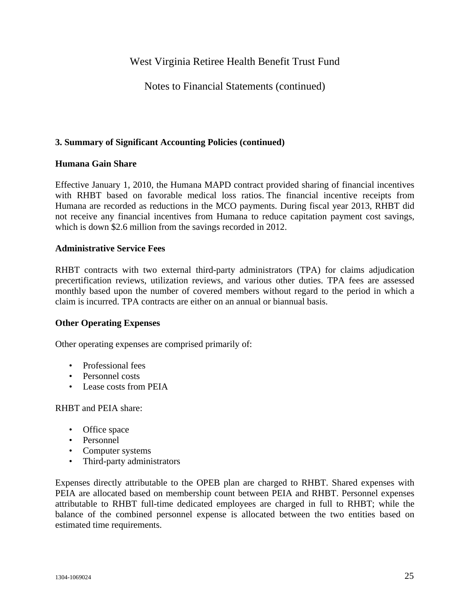Notes to Financial Statements (continued)

#### **3. Summary of Significant Accounting Policies (continued)**

#### **Humana Gain Share**

Effective January 1, 2010, the Humana MAPD contract provided sharing of financial incentives with RHBT based on favorable medical loss ratios. The financial incentive receipts from Humana are recorded as reductions in the MCO payments. During fiscal year 2013, RHBT did not receive any financial incentives from Humana to reduce capitation payment cost savings, which is down \$2.6 million from the savings recorded in 2012.

#### **Administrative Service Fees**

RHBT contracts with two external third-party administrators (TPA) for claims adjudication precertification reviews, utilization reviews, and various other duties. TPA fees are assessed monthly based upon the number of covered members without regard to the period in which a claim is incurred. TPA contracts are either on an annual or biannual basis.

#### **Other Operating Expenses**

Other operating expenses are comprised primarily of:

- Professional fees
- Personnel costs
- Lease costs from PEIA

RHBT and PEIA share:

- Office space
- Personnel
- Computer systems
- Third-party administrators

Expenses directly attributable to the OPEB plan are charged to RHBT. Shared expenses with PEIA are allocated based on membership count between PEIA and RHBT. Personnel expenses attributable to RHBT full-time dedicated employees are charged in full to RHBT; while the balance of the combined personnel expense is allocated between the two entities based on estimated time requirements.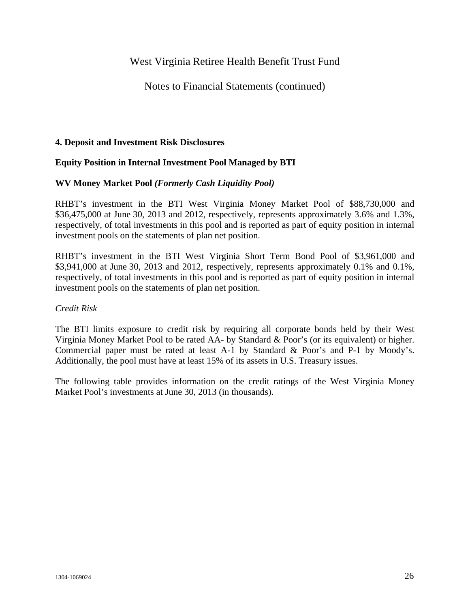## Notes to Financial Statements (continued)

#### **4. Deposit and Investment Risk Disclosures**

#### **Equity Position in Internal Investment Pool Managed by BTI**

#### **WV Money Market Pool** *(Formerly Cash Liquidity Pool)*

RHBT's investment in the BTI West Virginia Money Market Pool of \$88,730,000 and \$36,475,000 at June 30, 2013 and 2012, respectively, represents approximately 3.6% and 1.3%, respectively, of total investments in this pool and is reported as part of equity position in internal investment pools on the statements of plan net position.

RHBT's investment in the BTI West Virginia Short Term Bond Pool of \$3,961,000 and \$3,941,000 at June 30, 2013 and 2012, respectively, represents approximately 0.1% and 0.1%, respectively, of total investments in this pool and is reported as part of equity position in internal investment pools on the statements of plan net position.

#### *Credit Risk*

The BTI limits exposure to credit risk by requiring all corporate bonds held by their West Virginia Money Market Pool to be rated AA- by Standard & Poor's (or its equivalent) or higher. Commercial paper must be rated at least A-1 by Standard & Poor's and P-1 by Moody's. Additionally, the pool must have at least 15% of its assets in U.S. Treasury issues.

The following table provides information on the credit ratings of the West Virginia Money Market Pool's investments at June 30, 2013 (in thousands).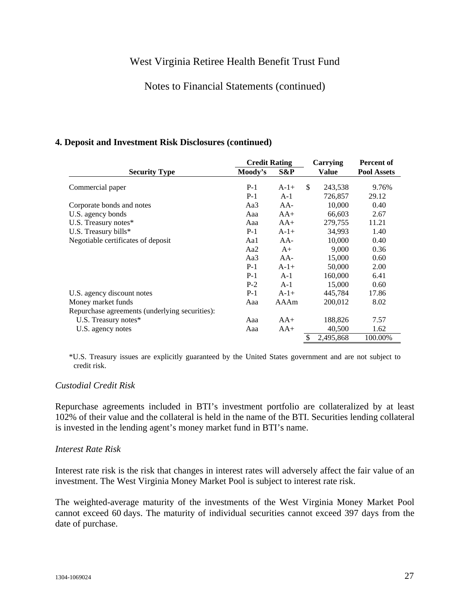## Notes to Financial Statements (continued)

#### **4. Deposit and Investment Risk Disclosures (continued)**

|                                                | <b>Credit Rating</b> |        | Carrying |              | Percent of         |  |
|------------------------------------------------|----------------------|--------|----------|--------------|--------------------|--|
| <b>Security Type</b>                           | Moody's              | S&P    |          | <b>Value</b> | <b>Pool Assets</b> |  |
| Commercial paper                               | $P-1$                | $A-1+$ | \$.      | 243,538      | 9.76%              |  |
|                                                | $P-1$                | $A-1$  |          | 726,857      | 29.12              |  |
| Corporate bonds and notes                      | Aa3                  | $AA-$  |          | 10,000       | 0.40               |  |
| U.S. agency bonds                              | Aaa                  | $AA+$  |          | 66,603       | 2.67               |  |
| U.S. Treasury notes*                           | Aaa                  | $AA+$  |          | 279,755      | 11.21              |  |
| U.S. Treasury bills*                           | $P-1$                | $A-1+$ |          | 34,993       | 1.40               |  |
| Negotiable certificates of deposit             | Aal                  | $AA-$  |          | 10,000       | 0.40               |  |
|                                                | Aa2                  | $A+$   |          | 9,000        | 0.36               |  |
|                                                | Aa3                  | $AA-$  |          | 15,000       | 0.60               |  |
|                                                | $P-1$                | $A-1+$ |          | 50,000       | 2.00               |  |
|                                                | $P-1$                | $A-1$  |          | 160,000      | 6.41               |  |
|                                                | $P-2$                | $A-1$  |          | 15,000       | 0.60               |  |
| U.S. agency discount notes                     | $P-1$                | $A-1+$ |          | 445,784      | 17.86              |  |
| Money market funds                             | Aaa                  | AAAm   |          | 200,012      | 8.02               |  |
| Repurchase agreements (underlying securities): |                      |        |          |              |                    |  |
| U.S. Treasury notes*                           | Aaa                  | $AA+$  |          | 188,826      | 7.57               |  |
| U.S. agency notes                              | Aaa                  | $AA+$  |          | 40,500       | 1.62               |  |
|                                                |                      |        | \$       | 2,495,868    | 100.00%            |  |

\*U.S. Treasury issues are explicitly guaranteed by the United States government and are not subject to credit risk.

#### *Custodial Credit Risk*

Repurchase agreements included in BTI's investment portfolio are collateralized by at least 102% of their value and the collateral is held in the name of the BTI. Securities lending collateral is invested in the lending agent's money market fund in BTI's name.

#### *Interest Rate Risk*

Interest rate risk is the risk that changes in interest rates will adversely affect the fair value of an investment. The West Virginia Money Market Pool is subject to interest rate risk.

The weighted-average maturity of the investments of the West Virginia Money Market Pool cannot exceed 60 days. The maturity of individual securities cannot exceed 397 days from the date of purchase.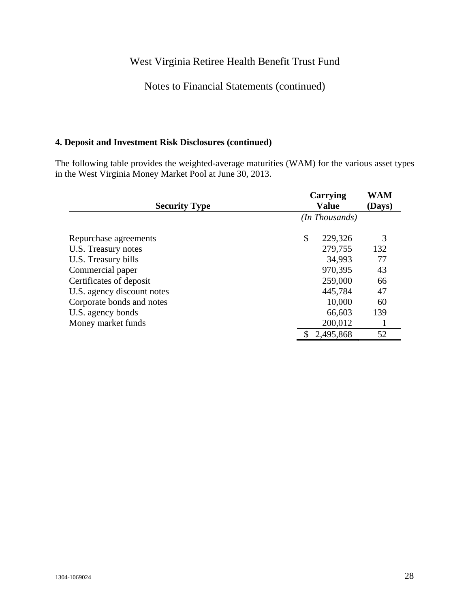## Notes to Financial Statements (continued)

#### **4. Deposit and Investment Risk Disclosures (continued)**

The following table provides the weighted-average maturities (WAM) for the various asset types in the West Virginia Money Market Pool at June 30, 2013.

|                            | Carrying       | <b>WAM</b> |
|----------------------------|----------------|------------|
| <b>Security Type</b>       | <b>Value</b>   | (Days)     |
|                            | (In Thousands) |            |
| Repurchase agreements      | \$<br>229,326  | 3          |
| U.S. Treasury notes        | 279,755        | 132        |
| U.S. Treasury bills        | 34,993         | 77         |
| Commercial paper           | 970,395        | 43         |
| Certificates of deposit    | 259,000        | 66         |
| U.S. agency discount notes | 445,784        | 47         |
| Corporate bonds and notes  | 10,000         | 60         |
| U.S. agency bonds          | 66,603         | 139        |
| Money market funds         | 200,012        |            |
|                            | 2,495,868      | 52         |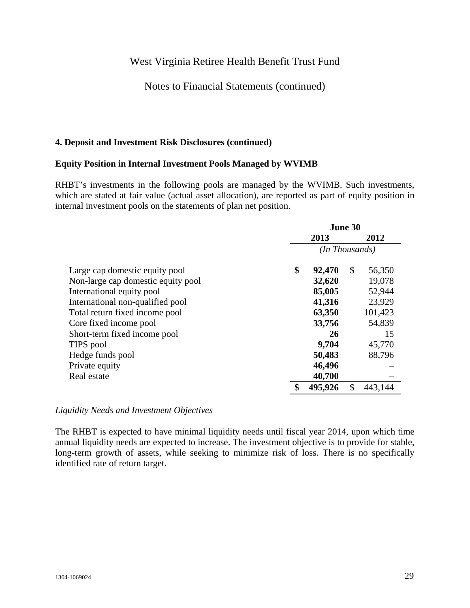## Notes to Financial Statements (continued)

#### **4. Deposit and Investment Risk Disclosures (continued)**

#### **Equity Position in Internal Investment Pools Managed by WVIMB**

RHBT's investments in the following pools are managed by the WVIMB. Such investments, which are stated at fair value (actual asset allocation), are reported as part of equity position in internal investment pools on the statements of plan net position.

|                                    | June 30      |                |    |         |
|------------------------------------|--------------|----------------|----|---------|
|                                    | 2013<br>2012 |                |    |         |
|                                    |              | (In Thousands) |    |         |
| Large cap domestic equity pool     | \$           | 92,470         | \$ | 56,350  |
| Non-large cap domestic equity pool |              | 32,620         |    | 19,078  |
| International equity pool          |              | 85,005         |    | 52,944  |
| International non-qualified pool   |              | 41,316         |    | 23,929  |
| Total return fixed income pool     |              | 63,350         |    | 101,423 |
| Core fixed income pool             |              | 33,756         |    | 54,839  |
| Short-term fixed income pool       |              | 26             |    | 15      |
| TIPS pool                          |              | 9,704          |    | 45,770  |
| Hedge funds pool                   |              | 50,483         |    | 88,796  |
| Private equity                     |              | 46,496         |    |         |
| Real estate                        |              | 40,700         |    |         |
|                                    |              | 495,926        | \$ | 443,144 |

#### *Liquidity Needs and Investment Objectives*

The RHBT is expected to have minimal liquidity needs until fiscal year 2014, upon which time annual liquidity needs are expected to increase. The investment objective is to provide for stable, long-term growth of assets, while seeking to minimize risk of loss. There is no specifically identified rate of return target.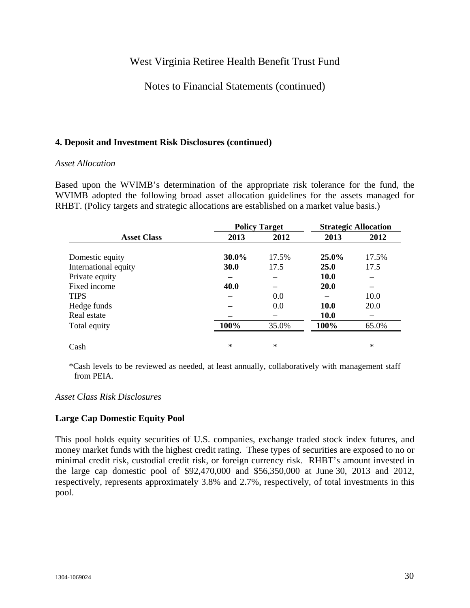### Notes to Financial Statements (continued)

#### **4. Deposit and Investment Risk Disclosures (continued)**

#### *Asset Allocation*

Based upon the WVIMB's determination of the appropriate risk tolerance for the fund, the WVIMB adopted the following broad asset allocation guidelines for the assets managed for RHBT. (Policy targets and strategic allocations are established on a market value basis.)

| 2013<br>2012      |
|-------------------|
|                   |
| $25.0\%$<br>17.5% |
| 17.5              |
|                   |
|                   |
| 10.0              |
| 20.0              |
|                   |
| 65.0%             |
| $\ast$            |
| 100%              |

\*Cash levels to be reviewed as needed, at least annually, collaboratively with management staff from PEIA.

#### *Asset Class Risk Disclosures*

#### **Large Cap Domestic Equity Pool**

This pool holds equity securities of U.S. companies, exchange traded stock index futures, and money market funds with the highest credit rating. These types of securities are exposed to no or minimal credit risk, custodial credit risk, or foreign currency risk. RHBT's amount invested in the large cap domestic pool of \$92,470,000 and \$56,350,000 at June 30, 2013 and 2012, respectively, represents approximately 3.8% and 2.7%, respectively, of total investments in this pool.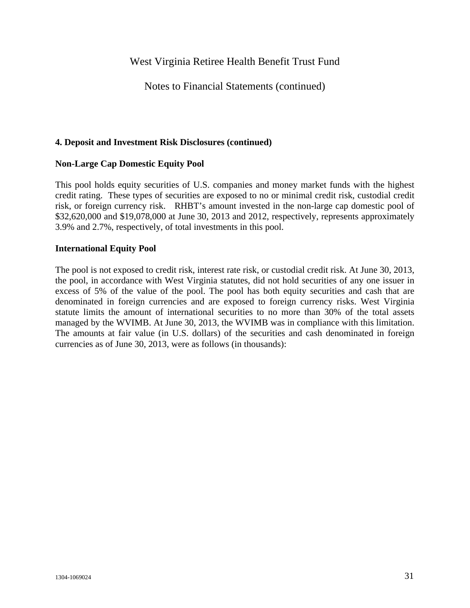### Notes to Financial Statements (continued)

#### **4. Deposit and Investment Risk Disclosures (continued)**

#### **Non-Large Cap Domestic Equity Pool**

This pool holds equity securities of U.S. companies and money market funds with the highest credit rating. These types of securities are exposed to no or minimal credit risk, custodial credit risk, or foreign currency risk. RHBT's amount invested in the non-large cap domestic pool of \$32,620,000 and \$19,078,000 at June 30, 2013 and 2012, respectively, represents approximately 3.9% and 2.7%, respectively, of total investments in this pool.

#### **International Equity Pool**

The pool is not exposed to credit risk, interest rate risk, or custodial credit risk. At June 30, 2013, the pool, in accordance with West Virginia statutes, did not hold securities of any one issuer in excess of 5% of the value of the pool. The pool has both equity securities and cash that are denominated in foreign currencies and are exposed to foreign currency risks. West Virginia statute limits the amount of international securities to no more than 30% of the total assets managed by the WVIMB. At June 30, 2013, the WVIMB was in compliance with this limitation. The amounts at fair value (in U.S. dollars) of the securities and cash denominated in foreign currencies as of June 30, 2013, were as follows (in thousands):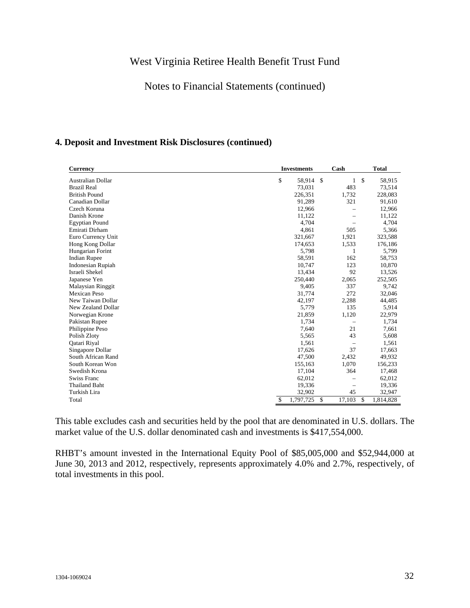## Notes to Financial Statements (continued)

#### **4. Deposit and Investment Risk Disclosures (continued)**

| <b>Currency</b>          |    | <b>Investments</b> | Cash         |                          |               | <b>Total</b> |
|--------------------------|----|--------------------|--------------|--------------------------|---------------|--------------|
| <b>Australian Dollar</b> | \$ | 58,914             | $\mathbb{S}$ | 1                        | \$            | 58,915       |
| <b>Brazil Real</b>       |    | 73,031             |              | 483                      |               | 73,514       |
| <b>British Pound</b>     |    | 226,351            |              | 1,732                    |               | 228,083      |
| Canadian Dollar          |    | 91,289             |              | 321                      |               | 91,610       |
| Czech Koruna             |    | 12,966             |              |                          |               | 12,966       |
| Danish Krone             |    | 11,122             |              |                          |               | 11,122       |
| <b>Egyptian Pound</b>    |    | 4,704              |              |                          |               | 4,704        |
| Emirati Dirham           |    | 4,861              |              | 505                      |               | 5,366        |
| Euro Currency Unit       |    | 321,667            |              | 1,921                    |               | 323,588      |
| Hong Kong Dollar         |    | 174,653            |              | 1,533                    |               | 176,186      |
| Hungarian Forint         |    | 5,798              |              | 1                        |               | 5,799        |
| <b>Indian Rupee</b>      |    | 58,591             |              | 162                      |               | 58,753       |
| <b>Indonesian Rupiah</b> |    | 10,747             |              | 123                      |               | 10,870       |
| Israeli Shekel           |    | 13,434             |              | 92                       |               | 13,526       |
| Japanese Yen             |    | 250,440            |              | 2,065                    |               | 252,505      |
| <b>Malaysian Ringgit</b> |    | 9,405              |              | 337                      |               | 9,742        |
| Mexican Peso             |    | 31,774             |              | 272                      |               | 32,046       |
| New Taiwan Dollar        |    | 42,197             |              | 2,288                    |               | 44,485       |
| New Zealand Dollar       |    | 5,779              |              | 135                      |               | 5,914        |
| Norwegian Krone          |    | 21,859             |              | 1,120                    |               | 22,979       |
| Pakistan Rupee           |    | 1,734              |              |                          |               | 1,734        |
| Philippine Peso          |    | 7,640              |              | 21                       |               | 7,661        |
| Polish Zloty             |    | 5,565              |              | 43                       |               | 5,608        |
| Qatari Riyal             |    | 1,561              |              | $\overline{\phantom{0}}$ |               | 1,561        |
| Singapore Dollar         |    | 17,626             |              | 37                       |               | 17,663       |
| South African Rand       |    | 47,500             |              | 2,432                    |               | 49,932       |
| South Korean Won         |    | 155,163            |              | 1,070                    |               | 156,233      |
| Swedish Krona            |    | 17,104             |              | 364                      |               | 17,468       |
| <b>Swiss Franc</b>       |    | 62,012             |              | $\overline{\phantom{0}}$ |               | 62,012       |
| <b>Thailand Baht</b>     |    | 19,336             |              | $\overline{\phantom{0}}$ |               | 19,336       |
| Turkish Lira             |    | 32,902             |              | 45                       |               | 32,947       |
| Total                    | S, | 1,797,725          | \$           | 17,103                   | <sup>\$</sup> | 1,814,828    |
|                          |    |                    |              |                          |               |              |

This table excludes cash and securities held by the pool that are denominated in U.S. dollars. The market value of the U.S. dollar denominated cash and investments is \$417,554,000.

RHBT's amount invested in the International Equity Pool of \$85,005,000 and \$52,944,000 at June 30, 2013 and 2012, respectively, represents approximately 4.0% and 2.7%, respectively, of total investments in this pool.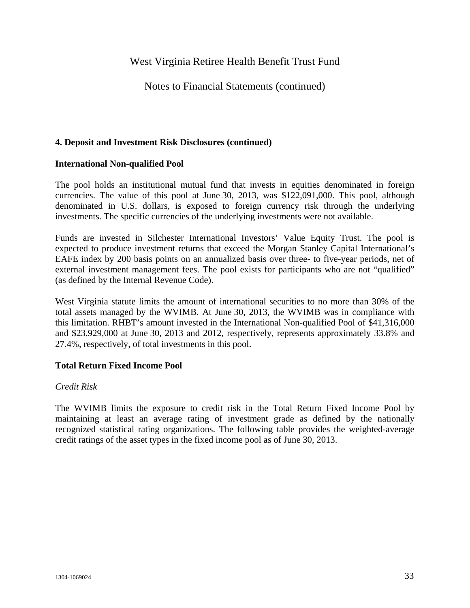## Notes to Financial Statements (continued)

#### **4. Deposit and Investment Risk Disclosures (continued)**

#### **International Non-qualified Pool**

The pool holds an institutional mutual fund that invests in equities denominated in foreign currencies. The value of this pool at June 30, 2013, was \$122,091,000. This pool, although denominated in U.S. dollars, is exposed to foreign currency risk through the underlying investments. The specific currencies of the underlying investments were not available.

Funds are invested in Silchester International Investors' Value Equity Trust. The pool is expected to produce investment returns that exceed the Morgan Stanley Capital International's EAFE index by 200 basis points on an annualized basis over three- to five-year periods, net of external investment management fees. The pool exists for participants who are not "qualified" (as defined by the Internal Revenue Code).

West Virginia statute limits the amount of international securities to no more than 30% of the total assets managed by the WVIMB. At June 30, 2013, the WVIMB was in compliance with this limitation. RHBT's amount invested in the International Non-qualified Pool of \$41,316,000 and \$23,929,000 at June 30, 2013 and 2012, respectively, represents approximately 33.8% and 27.4%, respectively, of total investments in this pool.

### **Total Return Fixed Income Pool**

#### *Credit Risk*

The WVIMB limits the exposure to credit risk in the Total Return Fixed Income Pool by maintaining at least an average rating of investment grade as defined by the nationally recognized statistical rating organizations. The following table provides the weighted-average credit ratings of the asset types in the fixed income pool as of June 30, 2013.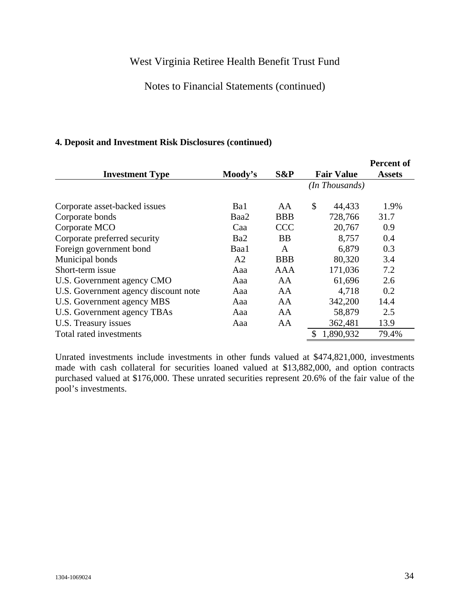## Notes to Financial Statements (continued)

#### **4. Deposit and Investment Risk Disclosures (continued)**

|                                      |                 |            |                   | <b>Percent of</b> |
|--------------------------------------|-----------------|------------|-------------------|-------------------|
| <b>Investment Type</b>               | Moody's         | $S\&P$     | <b>Fair Value</b> | <b>Assets</b>     |
|                                      |                 |            | (In Thousands)    |                   |
| Corporate asset-backed issues        | Ba1             | AA         | \$<br>44,433      | 1.9%              |
| Corporate bonds                      | Baa2            | <b>BBB</b> | 728,766           | 31.7              |
| Corporate MCO                        | Caa             | <b>CCC</b> | 20,767            | 0.9               |
| Corporate preferred security         | Ba <sub>2</sub> | <b>BB</b>  | 8,757             | 0.4               |
| Foreign government bond              | Baa1            | A          | 6,879             | 0.3               |
| Municipal bonds                      | A2              | <b>BBB</b> | 80,320            | 3.4               |
| Short-term issue                     | Aaa             | <b>AAA</b> | 171,036           | 7.2               |
| U.S. Government agency CMO           | Aaa             | AA         | 61,696            | 2.6               |
| U.S. Government agency discount note | Aaa             | AA         | 4,718             | 0.2               |
| U.S. Government agency MBS           | Aaa             | AA         | 342,200           | 14.4              |
| U.S. Government agency TBAs          | Aaa             | AA         | 58,879            | 2.5               |
| U.S. Treasury issues                 | Aaa             | AA         | 362,481           | 13.9              |
| Total rated investments              |                 |            | 1,890,932         | 79.4%             |

Unrated investments include investments in other funds valued at \$474,821,000, investments made with cash collateral for securities loaned valued at \$13,882,000, and option contracts purchased valued at \$176,000. These unrated securities represent 20.6% of the fair value of the pool's investments.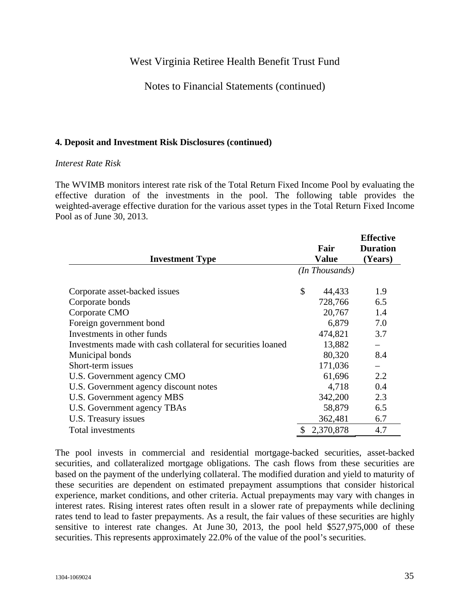### Notes to Financial Statements (continued)

#### **4. Deposit and Investment Risk Disclosures (continued)**

#### *Interest Rate Risk*

The WVIMB monitors interest rate risk of the Total Return Fixed Income Pool by evaluating the effective duration of the investments in the pool. The following table provides the weighted-average effective duration for the various asset types in the Total Return Fixed Income Pool as of June 30, 2013.

|                                                             |                      | <b>Effective</b>           |
|-------------------------------------------------------------|----------------------|----------------------------|
| <b>Investment Type</b>                                      | Fair<br><b>Value</b> | <b>Duration</b><br>(Years) |
|                                                             | (In Thousands)       |                            |
| Corporate asset-backed issues                               | \$<br>44,433         | 1.9                        |
| Corporate bonds                                             | 728,766              | 6.5                        |
| Corporate CMO                                               | 20,767               | 1.4                        |
| Foreign government bond                                     | 6,879                | 7.0                        |
| Investments in other funds                                  | 474,821              | 3.7                        |
| Investments made with cash collateral for securities loaned | 13,882               |                            |
| Municipal bonds                                             | 80,320               | 8.4                        |
| Short-term issues                                           | 171,036              |                            |
| U.S. Government agency CMO                                  | 61,696               | 2.2                        |
| U.S. Government agency discount notes                       | 4,718                | 0.4                        |
| U.S. Government agency MBS                                  | 342,200              | 2.3                        |
| U.S. Government agency TBAs                                 | 58,879               | 6.5                        |
| U.S. Treasury issues                                        | 362,481              | 6.7                        |
| Total investments                                           | 2,370,878            | 4.7                        |

The pool invests in commercial and residential mortgage-backed securities, asset-backed securities, and collateralized mortgage obligations. The cash flows from these securities are based on the payment of the underlying collateral. The modified duration and yield to maturity of these securities are dependent on estimated prepayment assumptions that consider historical experience, market conditions, and other criteria. Actual prepayments may vary with changes in interest rates. Rising interest rates often result in a slower rate of prepayments while declining rates tend to lead to faster prepayments. As a result, the fair values of these securities are highly sensitive to interest rate changes. At June 30, 2013, the pool held \$527,975,000 of these securities. This represents approximately 22.0% of the value of the pool's securities.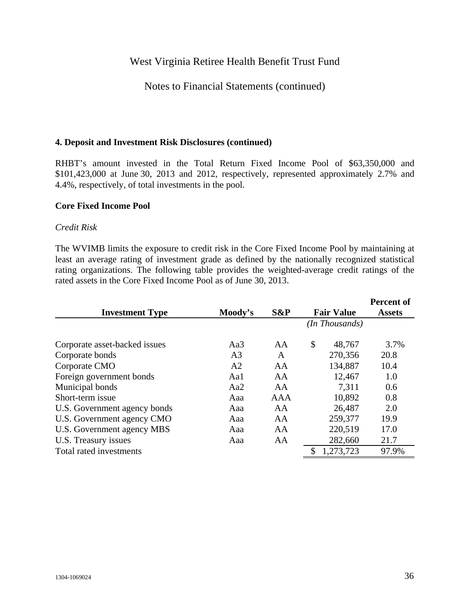## Notes to Financial Statements (continued)

#### **4. Deposit and Investment Risk Disclosures (continued)**

RHBT's amount invested in the Total Return Fixed Income Pool of \$63,350,000 and \$101,423,000 at June 30, 2013 and 2012, respectively, represented approximately 2.7% and 4.4%, respectively, of total investments in the pool.

#### **Core Fixed Income Pool**

#### *Credit Risk*

The WVIMB limits the exposure to credit risk in the Core Fixed Income Pool by maintaining at least an average rating of investment grade as defined by the nationally recognized statistical rating organizations. The following table provides the weighted-average credit ratings of the rated assets in the Core Fixed Income Pool as of June 30, 2013.

|                               |                |            |                   | <b>Percent of</b> |
|-------------------------------|----------------|------------|-------------------|-------------------|
| <b>Investment Type</b>        | Moody's        | S&P        | <b>Fair Value</b> | <b>Assets</b>     |
|                               |                |            | (In Thousands)    |                   |
| Corporate asset-backed issues | Aa3            | AA         | \$<br>48,767      | 3.7%              |
| Corporate bonds               | A <sub>3</sub> | A          | 270,356           | 20.8              |
| Corporate CMO                 | A <sub>2</sub> | AA         | 134,887           | 10.4              |
| Foreign government bonds      | Aa1            | AA         | 12,467            | 1.0               |
| Municipal bonds               | Aa2            | AA         | 7.311             | 0.6               |
| Short-term issue              | Aaa            | <b>AAA</b> | 10,892            | 0.8               |
| U.S. Government agency bonds  | Aaa            | AA         | 26,487            | 2.0               |
| U.S. Government agency CMO    | Aaa            | AA         | 259,377           | 19.9              |
| U.S. Government agency MBS    | Aaa            | AA         | 220,519           | 17.0              |
| U.S. Treasury issues          | Aaa            | AA         | 282,660           | 21.7              |
| Total rated investments       |                |            | \$<br>1,273,723   | 97.9%             |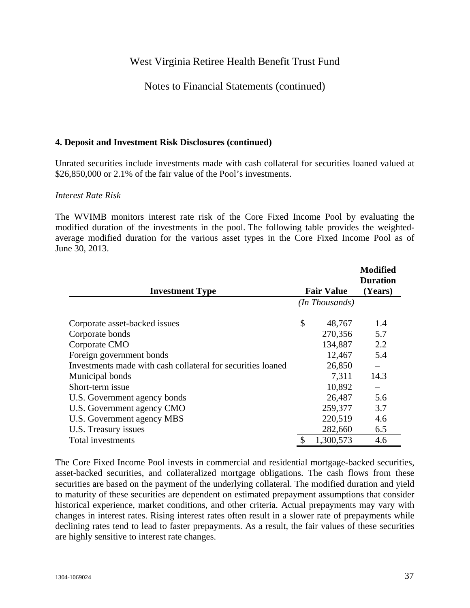### Notes to Financial Statements (continued)

#### **4. Deposit and Investment Risk Disclosures (continued)**

Unrated securities include investments made with cash collateral for securities loaned valued at \$26,850,000 or 2.1% of the fair value of the Pool's investments.

#### *Interest Rate Risk*

The WVIMB monitors interest rate risk of the Core Fixed Income Pool by evaluating the modified duration of the investments in the pool. The following table provides the weightedaverage modified duration for the various asset types in the Core Fixed Income Pool as of June 30, 2013.

|                                                             |                   | <b>Modified</b><br><b>Duration</b> |
|-------------------------------------------------------------|-------------------|------------------------------------|
| <b>Investment Type</b>                                      | <b>Fair Value</b> | (Years)                            |
|                                                             | (In Thousands)    |                                    |
| Corporate asset-backed issues                               | \$<br>48,767      | 1.4                                |
| Corporate bonds                                             | 270,356           | 5.7                                |
| Corporate CMO                                               | 134,887           | 2.2                                |
| Foreign government bonds                                    | 12,467            | 5.4                                |
| Investments made with cash collateral for securities loaned | 26,850            | $\overline{\phantom{0}}$           |
| Municipal bonds                                             | 7,311             | 14.3                               |
| Short-term issue                                            | 10,892            |                                    |
| U.S. Government agency bonds                                | 26,487            | 5.6                                |
| U.S. Government agency CMO                                  | 259,377           | 3.7                                |
| U.S. Government agency MBS                                  | 220,519           | 4.6                                |
| U.S. Treasury issues                                        | 282,660           | 6.5                                |
| <b>Total investments</b>                                    | 1,300,573         | 4.6                                |

The Core Fixed Income Pool invests in commercial and residential mortgage-backed securities, asset-backed securities, and collateralized mortgage obligations. The cash flows from these securities are based on the payment of the underlying collateral. The modified duration and yield to maturity of these securities are dependent on estimated prepayment assumptions that consider historical experience, market conditions, and other criteria. Actual prepayments may vary with changes in interest rates. Rising interest rates often result in a slower rate of prepayments while declining rates tend to lead to faster prepayments. As a result, the fair values of these securities are highly sensitive to interest rate changes.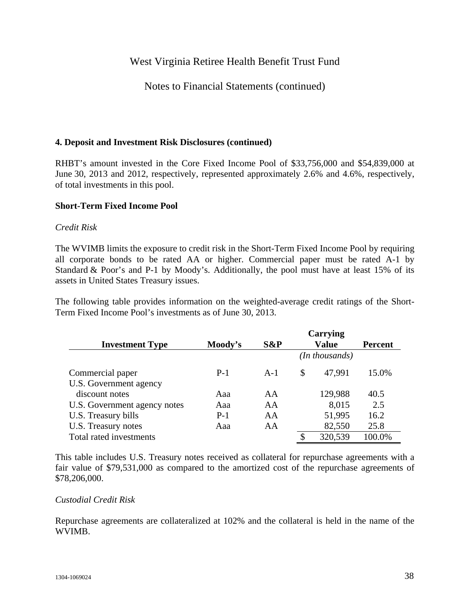## Notes to Financial Statements (continued)

#### **4. Deposit and Investment Risk Disclosures (continued)**

RHBT's amount invested in the Core Fixed Income Pool of \$33,756,000 and \$54,839,000 at June 30, 2013 and 2012, respectively, represented approximately 2.6% and 4.6%, respectively, of total investments in this pool.

#### **Short-Term Fixed Income Pool**

#### *Credit Risk*

The WVIMB limits the exposure to credit risk in the Short-Term Fixed Income Pool by requiring all corporate bonds to be rated AA or higher. Commercial paper must be rated A-1 by Standard & Poor's and P-1 by Moody's. Additionally, the pool must have at least 15% of its assets in United States Treasury issues.

The following table provides information on the weighted-average credit ratings of the Short-Term Fixed Income Pool's investments as of June 30, 2013.

| <b>Investment Type</b>       | Moody's | S&P   |    | Carrying<br><b>Value</b> | <b>Percent</b> |
|------------------------------|---------|-------|----|--------------------------|----------------|
|                              |         |       |    | (In thousands)           |                |
| Commercial paper             | $P-1$   | $A-1$ | S  | 47,991                   | 15.0%          |
| U.S. Government agency       |         |       |    |                          |                |
| discount notes               | Aaa     | AA    |    | 129,988                  | 40.5           |
| U.S. Government agency notes | Aaa     | AA    |    | 8,015                    | 2.5            |
| U.S. Treasury bills          | $P-1$   | AA    |    | 51,995                   | 16.2           |
| U.S. Treasury notes          | Aaa     | AA    |    | 82,550                   | 25.8           |
| Total rated investments      |         |       | \$ | 320,539                  | 100.0%         |

This table includes U.S. Treasury notes received as collateral for repurchase agreements with a fair value of \$79,531,000 as compared to the amortized cost of the repurchase agreements of \$78,206,000.

#### *Custodial Credit Risk*

Repurchase agreements are collateralized at 102% and the collateral is held in the name of the WVIMB.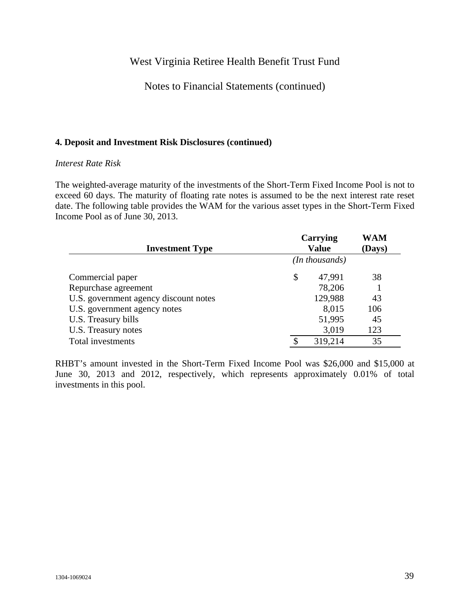## Notes to Financial Statements (continued)

#### **4. Deposit and Investment Risk Disclosures (continued)**

#### *Interest Rate Risk*

The weighted-average maturity of the investments of the Short-Term Fixed Income Pool is not to exceed 60 days. The maturity of floating rate notes is assumed to be the next interest rate reset date. The following table provides the WAM for the various asset types in the Short-Term Fixed Income Pool as of June 30, 2013.

| <b>Investment Type</b>                |                | Carrying<br><b>Value</b> | <b>WAM</b><br>(Days) |  |  |
|---------------------------------------|----------------|--------------------------|----------------------|--|--|
|                                       | (In thousands) |                          |                      |  |  |
| Commercial paper                      | \$             | 47,991                   | 38                   |  |  |
| Repurchase agreement                  |                | 78,206                   |                      |  |  |
| U.S. government agency discount notes |                | 129,988                  | 43                   |  |  |
| U.S. government agency notes          |                | 8,015                    | 106                  |  |  |
| U.S. Treasury bills                   |                | 51,995                   | 45                   |  |  |
| U.S. Treasury notes                   |                | 3,019                    | 123                  |  |  |
| Total investments                     |                | 319,214                  | 35                   |  |  |

RHBT's amount invested in the Short-Term Fixed Income Pool was \$26,000 and \$15,000 at June 30, 2013 and 2012, respectively, which represents approximately 0.01% of total investments in this pool.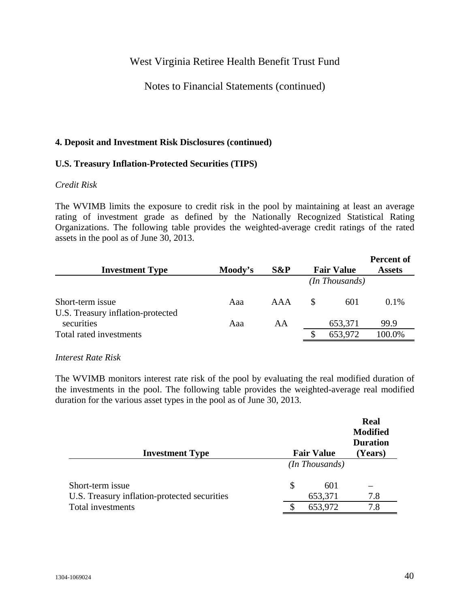## Notes to Financial Statements (continued)

#### **4. Deposit and Investment Risk Disclosures (continued)**

#### **U.S. Treasury Inflation-Protected Securities (TIPS)**

#### *Credit Risk*

The WVIMB limits the exposure to credit risk in the pool by maintaining at least an average rating of investment grade as defined by the Nationally Recognized Statistical Rating Organizations. The following table provides the weighted-average credit ratings of the rated assets in the pool as of June 30, 2013.

| <b>Investment Type</b>                                | Moody's | S&P | <b>Fair Value</b> | <b>Percent of</b><br><b>Assets</b> |
|-------------------------------------------------------|---------|-----|-------------------|------------------------------------|
|                                                       |         |     | (In Thousands)    |                                    |
| Short-term issue<br>U.S. Treasury inflation-protected | Aaa     | AAA | 601               | $0.1\%$                            |
| securities                                            | Aaa     | AA  | 653,371           | 99.9                               |
| Total rated investments                               |         |     | 653,972           | 100.0%                             |

#### *Interest Rate Risk*

The WVIMB monitors interest rate risk of the pool by evaluating the real modified duration of the investments in the pool. The following table provides the weighted-average real modified duration for the various asset types in the pool as of June 30, 2013.

|                                              |                   | <b>Real</b><br><b>Modified</b><br><b>Duration</b> |
|----------------------------------------------|-------------------|---------------------------------------------------|
| <b>Investment Type</b>                       | <b>Fair Value</b> | (Years)                                           |
|                                              | (In Thousands)    |                                                   |
| Short-term issue                             | \$<br>601         |                                                   |
| U.S. Treasury inflation-protected securities | 653,371           | 7.8                                               |
| Total investments                            | 653,972           | 7.8                                               |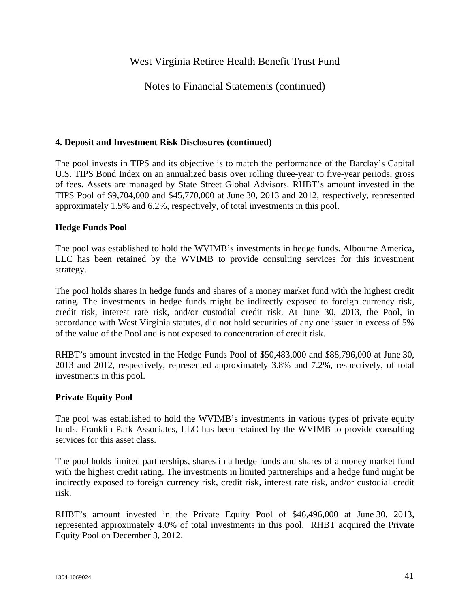Notes to Financial Statements (continued)

#### **4. Deposit and Investment Risk Disclosures (continued)**

The pool invests in TIPS and its objective is to match the performance of the Barclay's Capital U.S. TIPS Bond Index on an annualized basis over rolling three-year to five-year periods, gross of fees. Assets are managed by State Street Global Advisors. RHBT's amount invested in the TIPS Pool of \$9,704,000 and \$45,770,000 at June 30, 2013 and 2012, respectively, represented approximately 1.5% and 6.2%, respectively, of total investments in this pool.

#### **Hedge Funds Pool**

The pool was established to hold the WVIMB's investments in hedge funds. Albourne America, LLC has been retained by the WVIMB to provide consulting services for this investment strategy.

The pool holds shares in hedge funds and shares of a money market fund with the highest credit rating. The investments in hedge funds might be indirectly exposed to foreign currency risk, credit risk, interest rate risk, and/or custodial credit risk. At June 30, 2013, the Pool, in accordance with West Virginia statutes, did not hold securities of any one issuer in excess of 5% of the value of the Pool and is not exposed to concentration of credit risk.

RHBT's amount invested in the Hedge Funds Pool of \$50,483,000 and \$88,796,000 at June 30, 2013 and 2012, respectively, represented approximately 3.8% and 7.2%, respectively, of total investments in this pool.

### **Private Equity Pool**

The pool was established to hold the WVIMB's investments in various types of private equity funds. Franklin Park Associates, LLC has been retained by the WVIMB to provide consulting services for this asset class.

The pool holds limited partnerships, shares in a hedge funds and shares of a money market fund with the highest credit rating. The investments in limited partnerships and a hedge fund might be indirectly exposed to foreign currency risk, credit risk, interest rate risk, and/or custodial credit risk.

RHBT's amount invested in the Private Equity Pool of \$46,496,000 at June 30, 2013, represented approximately 4.0% of total investments in this pool. RHBT acquired the Private Equity Pool on December 3, 2012.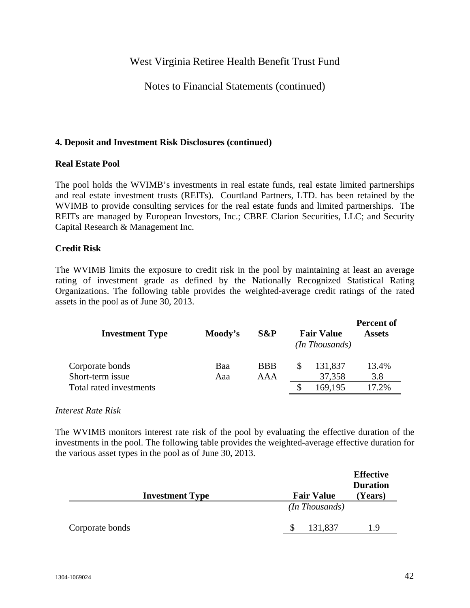## Notes to Financial Statements (continued)

#### **4. Deposit and Investment Risk Disclosures (continued)**

#### **Real Estate Pool**

The pool holds the WVIMB's investments in real estate funds, real estate limited partnerships and real estate investment trusts (REITs). Courtland Partners, LTD. has been retained by the WVIMB to provide consulting services for the real estate funds and limited partnerships. The REITs are managed by European Investors, Inc.; CBRE Clarion Securities, LLC; and Security Capital Research & Management Inc.

#### **Credit Risk**

The WVIMB limits the exposure to credit risk in the pool by maintaining at least an average rating of investment grade as defined by the Nationally Recognized Statistical Rating Organizations. The following table provides the weighted-average credit ratings of the rated assets in the pool as of June 30, 2013.

| <b>Investment Type</b>  | Moody's | S&P        | <b>Fair Value</b> | <b>Percent of</b><br><b>Assets</b> |
|-------------------------|---------|------------|-------------------|------------------------------------|
|                         |         |            | (In Thousands)    |                                    |
| Corporate bonds         | Baa     | <b>BBB</b> | 131,837           | 13.4%                              |
| Short-term issue        | Aaa     | AAA        | 37,358            | 3.8                                |
| Total rated investments |         |            | 169,195           | 17.2%                              |

#### *Interest Rate Risk*

The WVIMB monitors interest rate risk of the pool by evaluating the effective duration of the investments in the pool. The following table provides the weighted-average effective duration for the various asset types in the pool as of June 30, 2013.

| <b>Investment Type</b> | <b>Fair Value</b> | <b>Effective</b><br><b>Duration</b><br>(Years) |
|------------------------|-------------------|------------------------------------------------|
|                        | (In Thousands)    |                                                |
| Corporate bonds        | 131,837           | 1.9                                            |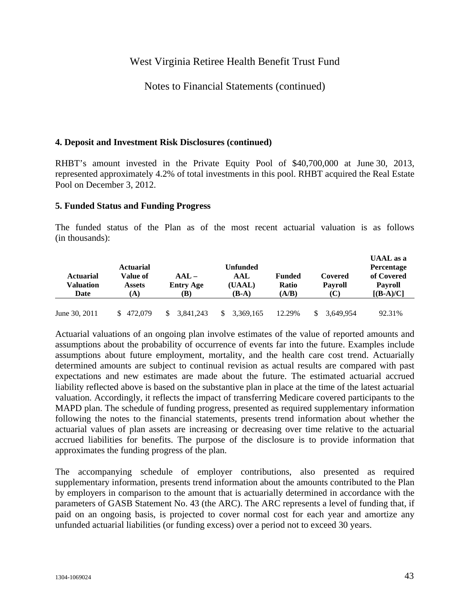### Notes to Financial Statements (continued)

#### **4. Deposit and Investment Risk Disclosures (continued)**

RHBT's amount invested in the Private Equity Pool of \$40,700,000 at June 30, 2013, represented approximately 4.2% of total investments in this pool. RHBT acquired the Real Estate Pool on December 3, 2012.

#### **5. Funded Status and Funding Progress**

The funded status of the Plan as of the most recent actuarial valuation is as follows (in thousands):

|                                | <b>Actuarial</b>                 |                                    | Unfunded               |                                        |                                  | <b>UAAL</b> as a<br>Percentage       |
|--------------------------------|----------------------------------|------------------------------------|------------------------|----------------------------------------|----------------------------------|--------------------------------------|
| Actuarial<br>Valuation<br>Date | Value of<br><b>Assets</b><br>(A) | $AAI -$<br><b>Entry Age</b><br>(B) | AAL<br>(UAAL)<br>(B-A) | <b>Funded</b><br><b>Ratio</b><br>(A/B) | Covered<br><b>Payroll</b><br>(C) | of Covered<br>Payroll<br>$[(B-A)/C]$ |
| June 30, 2011                  | 472,079                          | 3,841,243                          | 3,369,165              | 12.29%                                 | 3,649,954                        | 92.31%                               |

Actuarial valuations of an ongoing plan involve estimates of the value of reported amounts and assumptions about the probability of occurrence of events far into the future. Examples include assumptions about future employment, mortality, and the health care cost trend. Actuarially determined amounts are subject to continual revision as actual results are compared with past expectations and new estimates are made about the future. The estimated actuarial accrued liability reflected above is based on the substantive plan in place at the time of the latest actuarial valuation. Accordingly, it reflects the impact of transferring Medicare covered participants to the MAPD plan. The schedule of funding progress, presented as required supplementary information following the notes to the financial statements, presents trend information about whether the actuarial values of plan assets are increasing or decreasing over time relative to the actuarial accrued liabilities for benefits. The purpose of the disclosure is to provide information that approximates the funding progress of the plan.

The accompanying schedule of employer contributions, also presented as required supplementary information, presents trend information about the amounts contributed to the Plan by employers in comparison to the amount that is actuarially determined in accordance with the parameters of GASB Statement No. 43 (the ARC). The ARC represents a level of funding that, if paid on an ongoing basis, is projected to cover normal cost for each year and amortize any unfunded actuarial liabilities (or funding excess) over a period not to exceed 30 years.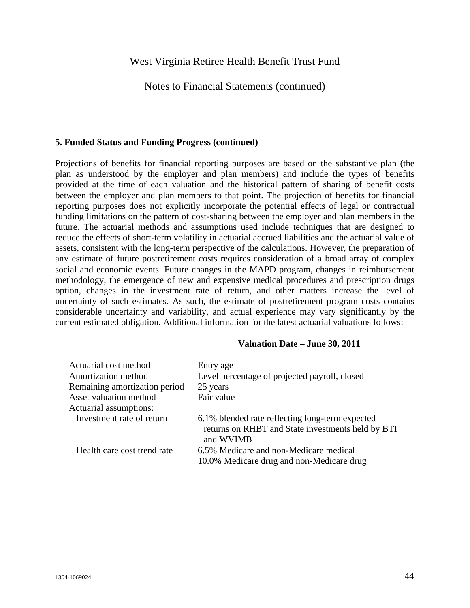Notes to Financial Statements (continued)

#### **5. Funded Status and Funding Progress (continued)**

Projections of benefits for financial reporting purposes are based on the substantive plan (the plan as understood by the employer and plan members) and include the types of benefits provided at the time of each valuation and the historical pattern of sharing of benefit costs between the employer and plan members to that point. The projection of benefits for financial reporting purposes does not explicitly incorporate the potential effects of legal or contractual funding limitations on the pattern of cost-sharing between the employer and plan members in the future. The actuarial methods and assumptions used include techniques that are designed to reduce the effects of short-term volatility in actuarial accrued liabilities and the actuarial value of assets, consistent with the long-term perspective of the calculations. However, the preparation of any estimate of future postretirement costs requires consideration of a broad array of complex social and economic events. Future changes in the MAPD program, changes in reimbursement methodology, the emergence of new and expensive medical procedures and prescription drugs option, changes in the investment rate of return, and other matters increase the level of uncertainty of such estimates. As such, the estimate of postretirement program costs contains considerable uncertainty and variability, and actual experience may vary significantly by the current estimated obligation. Additional information for the latest actuarial valuations follows:

| Actuarial cost method         | Entry age                                                                                                         |
|-------------------------------|-------------------------------------------------------------------------------------------------------------------|
| Amortization method           | Level percentage of projected payroll, closed                                                                     |
| Remaining amortization period | 25 years                                                                                                          |
| Asset valuation method        | Fair value                                                                                                        |
| Actuarial assumptions:        |                                                                                                                   |
| Investment rate of return     | 6.1% blended rate reflecting long-term expected<br>returns on RHBT and State investments held by BTI<br>and WVIMB |
| Health care cost trend rate   | 6.5% Medicare and non-Medicare medical<br>10.0% Medicare drug and non-Medicare drug                               |

 **Valuation Date – June 30, 2011**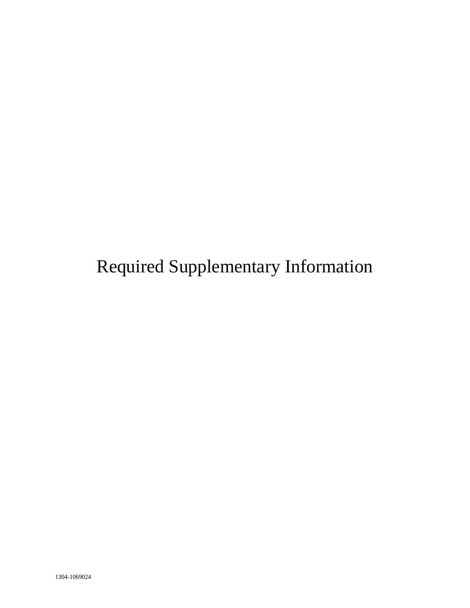Required Supplementary Information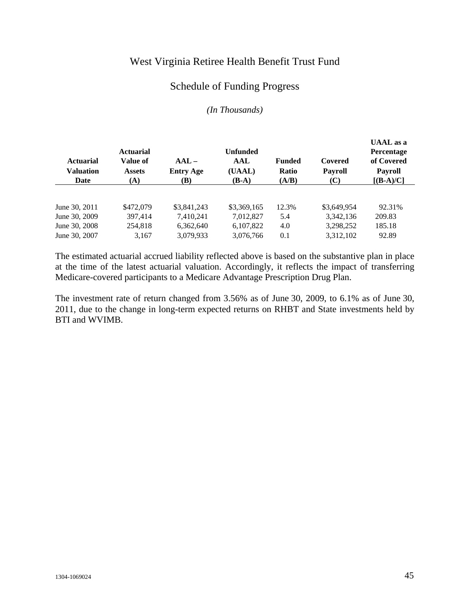## Schedule of Funding Progress

#### *(In Thousands)*

| <b>Actuarial</b><br><b>Valuation</b><br>Date | <b>Actuarial</b><br>Value of<br><b>Assets</b><br>(A) | $AAL -$<br><b>Entry Age</b><br>(B) | Unfunded<br>AAL<br>(UAAL)<br>$(B-A)$ | <b>Funded</b><br><b>Ratio</b><br>(A/B) | Covered<br><b>Payroll</b><br>(C) | <b>UAAL</b> as a<br>Percentage<br>of Covered<br><b>Payroll</b><br>$[(B-A)/C]$ |
|----------------------------------------------|------------------------------------------------------|------------------------------------|--------------------------------------|----------------------------------------|----------------------------------|-------------------------------------------------------------------------------|
|                                              |                                                      |                                    |                                      |                                        |                                  |                                                                               |
| June 30, 2011                                | \$472,079                                            | \$3,841,243                        | \$3,369,165                          | 12.3%                                  | \$3,649,954                      | 92.31%                                                                        |
| June 30, 2009                                | 397.414                                              | 7,410,241                          | 7,012,827                            | 5.4                                    | 3,342,136                        | 209.83                                                                        |
| June 30, 2008                                | 254,818                                              | 6,362,640                          | 6,107,822                            | 4.0                                    | 3,298,252                        | 185.18                                                                        |
| June 30, 2007                                | 3.167                                                | 3.079.933                          | 3.076.766                            | 0.1                                    | 3.312.102                        | 92.89                                                                         |

The estimated actuarial accrued liability reflected above is based on the substantive plan in place at the time of the latest actuarial valuation. Accordingly, it reflects the impact of transferring Medicare-covered participants to a Medicare Advantage Prescription Drug Plan.

The investment rate of return changed from 3.56% as of June 30, 2009, to 6.1% as of June 30, 2011, due to the change in long-term expected returns on RHBT and State investments held by BTI and WVIMB.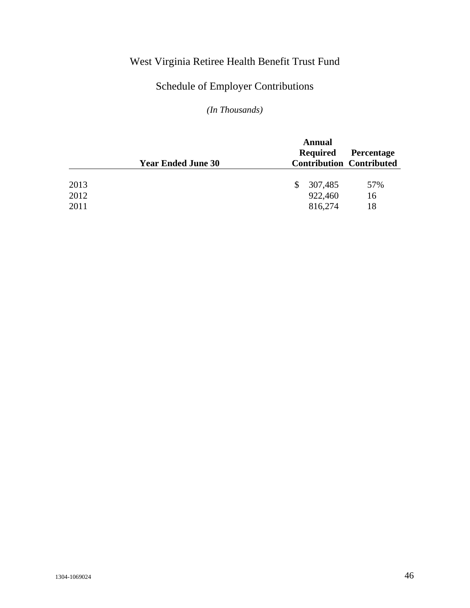# Schedule of Employer Contributions

## *(In Thousands)*

|              |                           | <b>Annual</b><br><b>Required</b> | <b>Percentage</b>               |
|--------------|---------------------------|----------------------------------|---------------------------------|
|              | <b>Year Ended June 30</b> |                                  | <b>Contribution Contributed</b> |
| 2013<br>2012 |                           | 307,485<br>922,460               | 57%<br>16                       |
| 2011         |                           | 816,274                          | 18                              |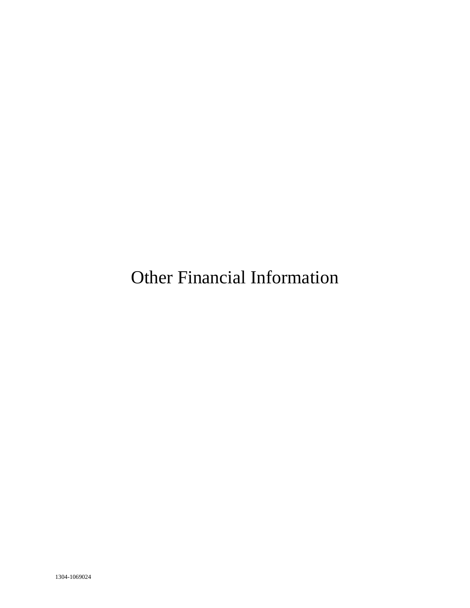Other Financial Information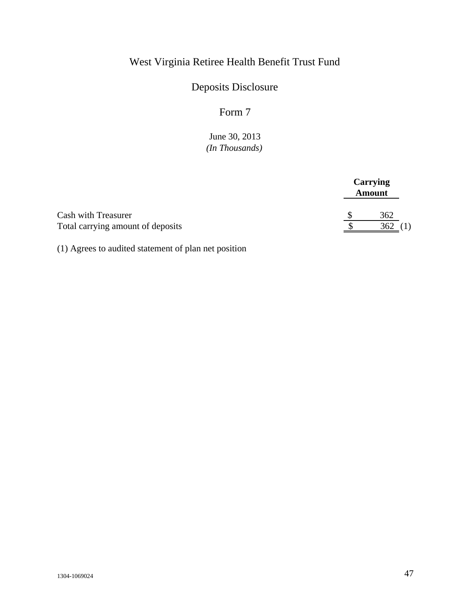## Deposits Disclosure

Form 7

June 30, 2013 *(In Thousands)*

|                                   | <b>Carrying</b><br><b>Amount</b> |  |
|-----------------------------------|----------------------------------|--|
| <b>Cash with Treasurer</b>        | 362                              |  |
| Total carrying amount of deposits | 362                              |  |

(1) Agrees to audited statement of plan net position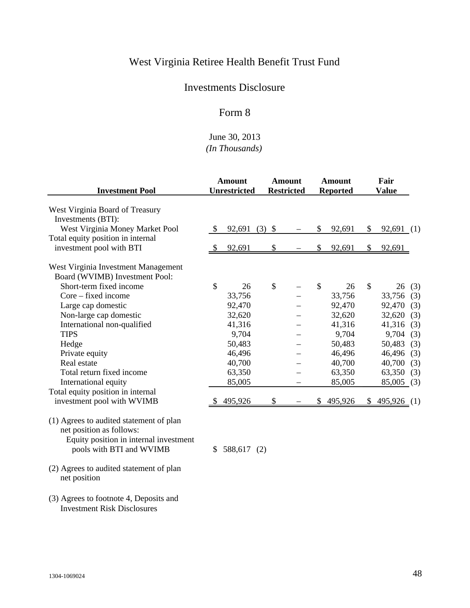## Investments Disclosure

## Form 8

## June 30, 2013 *(In Thousands)*

|                                                                                                                                           |               | <b>Amount</b>       |          | <b>Amount</b>     |               | <b>Amount</b>   | Fair                      |     |
|-------------------------------------------------------------------------------------------------------------------------------------------|---------------|---------------------|----------|-------------------|---------------|-----------------|---------------------------|-----|
| <b>Investment Pool</b>                                                                                                                    |               | <b>Unrestricted</b> |          | <b>Restricted</b> |               | <b>Reported</b> | <b>Value</b>              |     |
| West Virginia Board of Treasury<br>Investments (BTI):<br>West Virginia Money Market Pool                                                  | \$            | 92,691              | $(3)$ \$ |                   | \$            | 92,691          | \$<br>$92,691$ (1)        |     |
| Total equity position in internal                                                                                                         |               |                     |          |                   |               |                 |                           |     |
| investment pool with BTI                                                                                                                  | <sup>\$</sup> | 92,691              |          | \$                | \$            | 92,691          | \$<br>92,691              |     |
| West Virginia Investment Management<br>Board (WVIMB) Investment Pool:                                                                     |               |                     |          |                   |               |                 |                           |     |
| Short-term fixed income                                                                                                                   | \$            | 26                  |          | \$                | $\mathcal{S}$ | 26              | \$<br>26                  | (3) |
| Core – fixed income                                                                                                                       |               | 33,756              |          |                   |               | 33,756          | 33,756                    | (3) |
| Large cap domestic                                                                                                                        |               | 92,470              |          |                   |               | 92,470          | 92,470                    | (3) |
| Non-large cap domestic                                                                                                                    |               | 32,620              |          |                   |               | 32,620          | 32,620                    | (3) |
| International non-qualified                                                                                                               |               | 41,316              |          |                   |               | 41,316          | 41,316                    | (3) |
| <b>TIPS</b>                                                                                                                               |               | 9,704               |          |                   |               | 9,704           | 9,704                     | (3) |
| Hedge                                                                                                                                     |               | 50,483              |          |                   |               | 50,483          | 50,483                    | (3) |
| Private equity                                                                                                                            |               | 46,496              |          |                   |               | 46,496          | 46,496                    | (3) |
| Real estate                                                                                                                               |               | 40,700              |          |                   |               | 40,700          | 40,700                    | (3) |
| Total return fixed income                                                                                                                 |               | 63,350              |          |                   |               | 63,350          | 63,350                    | (3) |
| International equity                                                                                                                      |               | 85,005              |          |                   |               | 85,005          | 85,005 (3)                |     |
| Total equity position in internal                                                                                                         |               |                     |          |                   |               |                 |                           |     |
| investment pool with WVIMB                                                                                                                |               | 495,926             |          | \$                |               | \$495,926       | $\frac{$495,926}{$\;(1)}$ |     |
| (1) Agrees to audited statement of plan<br>net position as follows:<br>Equity position in internal investment<br>pools with BTI and WVIMB | \$            | 588,617 (2)         |          |                   |               |                 |                           |     |
| (2) Agrees to audited statement of plan<br>net position                                                                                   |               |                     |          |                   |               |                 |                           |     |
| (3) Agrees to footnote 4, Deposits and                                                                                                    |               |                     |          |                   |               |                 |                           |     |

Investment Risk Disclosures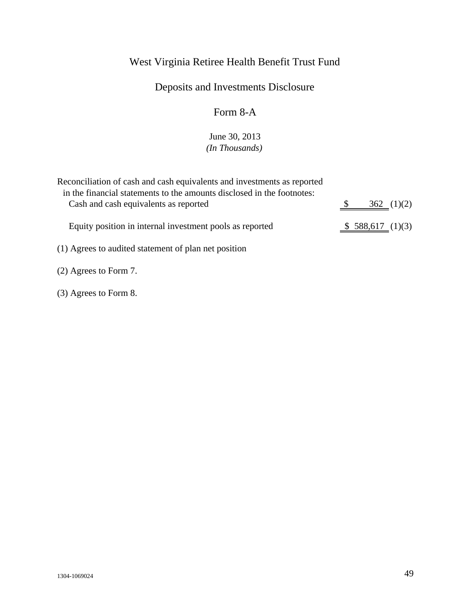# Deposits and Investments Disclosure

## Form 8-A

## June 30, 2013 *(In Thousands)*

| Reconciliation of cash and cash equivalents and investments as reported |    |                 |                        |
|-------------------------------------------------------------------------|----|-----------------|------------------------|
| in the financial statements to the amounts disclosed in the footnotes:  |    |                 |                        |
| Cash and cash equivalents as reported                                   | -S |                 | $\frac{362}{2}$ (1)(2) |
| Equity position in internal investment pools as reported                |    | \$588,617(1)(3) |                        |
| (1) Agrees to audited statement of plan net position                    |    |                 |                        |

- (2) Agrees to Form 7.
- (3) Agrees to Form 8.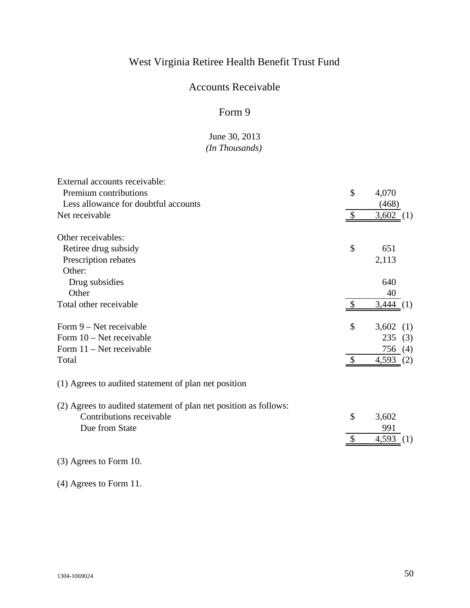## Accounts Receivable

## Form 9

## *(In Thousands)* June 30, 2013

| External accounts receivable:                                    |                           |         |     |
|------------------------------------------------------------------|---------------------------|---------|-----|
| Premium contributions                                            | \$                        | 4,070   |     |
| Less allowance for doubtful accounts                             |                           | (468)   |     |
| Net receivable                                                   | $\boldsymbol{\mathsf{S}}$ | 3,602   | (1) |
|                                                                  |                           |         |     |
| Other receivables:                                               |                           |         |     |
| Retiree drug subsidy                                             | \$                        | 651     |     |
| Prescription rebates                                             |                           | 2,113   |     |
| Other:                                                           |                           |         |     |
| Drug subsidies                                                   |                           | 640     |     |
| Other                                                            |                           | 40      |     |
| Total other receivable                                           | $\boldsymbol{\mathsf{S}}$ | 3,444   | (1) |
|                                                                  |                           |         |     |
| Form 9 – Net receivable                                          | \$                        | 3,602   | (1) |
| Form 10 – Net receivable                                         |                           | 235     | (3) |
| Form 11 – Net receivable                                         |                           | 756 (4) |     |
| Total                                                            | $\boldsymbol{\mathsf{S}}$ | 4,593   | (2) |
|                                                                  |                           |         |     |
| (1) Agrees to audited statement of plan net position             |                           |         |     |
| (2) Agrees to audited statement of plan net position as follows: |                           |         |     |
| Contributions receivable                                         | \$                        | 3,602   |     |
| Due from State                                                   |                           | 991     |     |
|                                                                  | $\mathcal{S}$             | 4,593   | (1) |
|                                                                  |                           |         |     |
| (3) Agrees to Form 10.                                           |                           |         |     |
|                                                                  |                           |         |     |

(4) Agrees to Form 11.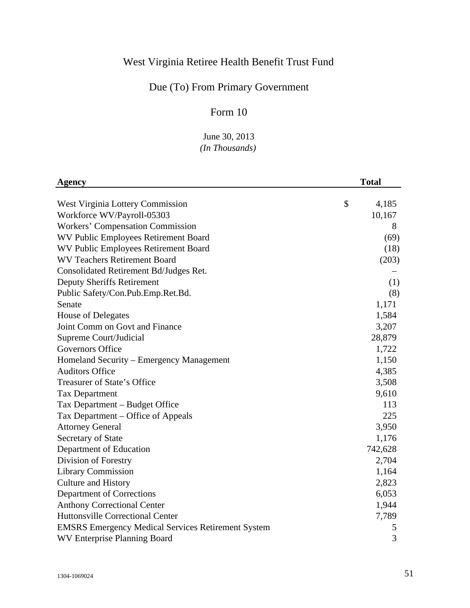# Due (To) From Primary Government

## Form 10

## June 30, 2013 *(In Thousands)*

| <b>Agency</b>                                             | <b>Total</b> |     |
|-----------------------------------------------------------|--------------|-----|
|                                                           |              |     |
| <b>West Virginia Lottery Commission</b>                   | \$<br>4,185  |     |
| Workforce WV/Payroll-05303                                | 10,167       |     |
| <b>Workers' Compensation Commission</b>                   | 8            |     |
| WV Public Employees Retirement Board                      | (69)         |     |
| WV Public Employees Retirement Board                      | (18)         |     |
| <b>WV Teachers Retirement Board</b>                       | (203)        |     |
| Consolidated Retirement Bd/Judges Ret.                    |              |     |
| Deputy Sheriffs Retirement                                | (1)          |     |
| Public Safety/Con.Pub.Emp.Ret.Bd.                         |              | (8) |
| Senate                                                    | 1,171        |     |
| House of Delegates                                        | 1,584        |     |
| Joint Comm on Govt and Finance                            | 3,207        |     |
| Supreme Court/Judicial                                    | 28,879       |     |
| Governors Office                                          | 1,722        |     |
| Homeland Security - Emergency Management                  | 1,150        |     |
| <b>Auditors Office</b>                                    | 4,385        |     |
| Treasurer of State's Office                               | 3,508        |     |
| <b>Tax Department</b>                                     | 9,610        |     |
| Tax Department – Budget Office                            | 113          |     |
| Tax Department – Office of Appeals                        | 225          |     |
| <b>Attorney General</b>                                   | 3,950        |     |
| Secretary of State                                        | 1,176        |     |
| Department of Education                                   | 742,628      |     |
| Division of Forestry                                      | 2,704        |     |
| <b>Library Commission</b>                                 | 1,164        |     |
| <b>Culture and History</b>                                | 2,823        |     |
| Department of Corrections                                 | 6,053        |     |
| <b>Anthony Correctional Center</b>                        | 1,944        |     |
| <b>Huttonsville Correctional Center</b>                   | 7,789        |     |
| <b>EMSRS Emergency Medical Services Retirement System</b> | 5            |     |
| <b>WV Enterprise Planning Board</b>                       | 3            |     |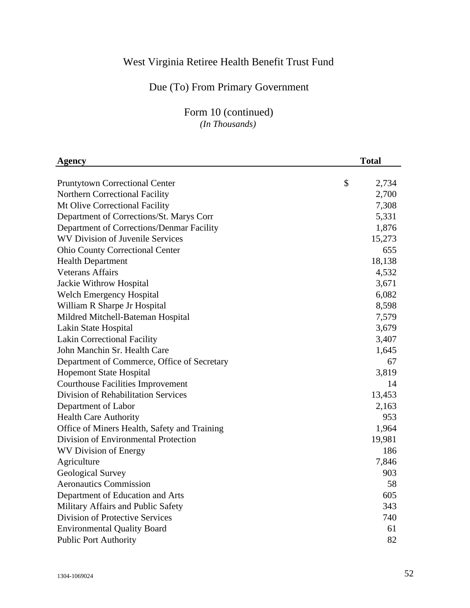# Due (To) From Primary Government

## *(In Thousands)* Form 10 (continued)

| <b>Agency</b>                                | <b>Total</b> |
|----------------------------------------------|--------------|
|                                              |              |
| <b>Pruntytown Correctional Center</b>        | \$<br>2,734  |
| <b>Northern Correctional Facility</b>        | 2,700        |
| Mt Olive Correctional Facility               | 7,308        |
| Department of Corrections/St. Marys Corr     | 5,331        |
| Department of Corrections/Denmar Facility    | 1,876        |
| <b>WV Division of Juvenile Services</b>      | 15,273       |
| <b>Ohio County Correctional Center</b>       | 655          |
| <b>Health Department</b>                     | 18,138       |
| <b>Veterans Affairs</b>                      | 4,532        |
| Jackie Withrow Hospital                      | 3,671        |
| <b>Welch Emergency Hospital</b>              | 6,082        |
| William R Sharpe Jr Hospital                 | 8,598        |
| Mildred Mitchell-Bateman Hospital            | 7,579        |
| Lakin State Hospital                         | 3,679        |
| <b>Lakin Correctional Facility</b>           | 3,407        |
| John Manchin Sr. Health Care                 | 1,645        |
| Department of Commerce, Office of Secretary  | 67           |
| <b>Hopemont State Hospital</b>               | 3,819        |
| <b>Courthouse Facilities Improvement</b>     | 14           |
| <b>Division of Rehabilitation Services</b>   | 13,453       |
| Department of Labor                          | 2,163        |
| <b>Health Care Authority</b>                 | 953          |
| Office of Miners Health, Safety and Training | 1,964        |
| Division of Environmental Protection         | 19,981       |
| <b>WV Division of Energy</b>                 | 186          |
| Agriculture                                  | 7,846        |
| <b>Geological Survey</b>                     | 903          |
| <b>Aeronautics Commission</b>                | 58           |
| Department of Education and Arts             | 605          |
| Military Affairs and Public Safety           | 343          |
| <b>Division of Protective Services</b>       | 740          |
| <b>Environmental Quality Board</b>           | 61           |
| <b>Public Port Authority</b>                 | 82           |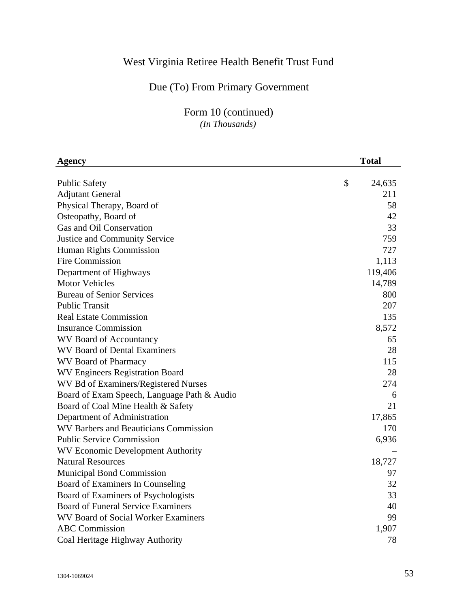# Due (To) From Primary Government

## *(In Thousands)* Form 10 (continued)

| <b>Agency</b>                                | <b>Total</b> |
|----------------------------------------------|--------------|
|                                              |              |
| \$<br><b>Public Safety</b>                   | 24,635       |
| <b>Adjutant General</b>                      | 211          |
| Physical Therapy, Board of                   | 58           |
| Osteopathy, Board of                         | 42           |
| Gas and Oil Conservation                     | 33           |
| Justice and Community Service                | 759          |
| <b>Human Rights Commission</b>               | 727          |
| <b>Fire Commission</b>                       | 1,113        |
| Department of Highways                       | 119,406      |
| <b>Motor Vehicles</b>                        | 14,789       |
| <b>Bureau of Senior Services</b>             | 800          |
| <b>Public Transit</b>                        | 207          |
| <b>Real Estate Commission</b>                | 135          |
| <b>Insurance Commission</b>                  | 8,572        |
| <b>WV Board of Accountancy</b>               | 65           |
| <b>WV Board of Dental Examiners</b>          | 28           |
| <b>WV Board of Pharmacy</b>                  | 115          |
| <b>WV Engineers Registration Board</b>       | 28           |
| WV Bd of Examiners/Registered Nurses         | 274          |
| Board of Exam Speech, Language Path & Audio  | 6            |
| Board of Coal Mine Health & Safety           | 21           |
| Department of Administration                 | 17,865       |
| <b>WV Barbers and Beauticians Commission</b> | 170          |
| <b>Public Service Commission</b>             | 6,936        |
| <b>WV Economic Development Authority</b>     |              |
| <b>Natural Resources</b>                     | 18,727       |
| <b>Municipal Bond Commission</b>             | 97           |
| Board of Examiners In Counseling             | 32           |
| Board of Examiners of Psychologists          | 33           |
| <b>Board of Funeral Service Examiners</b>    | 40           |
| WV Board of Social Worker Examiners          | 99           |
| <b>ABC</b> Commission                        | 1,907        |
| Coal Heritage Highway Authority              | 78           |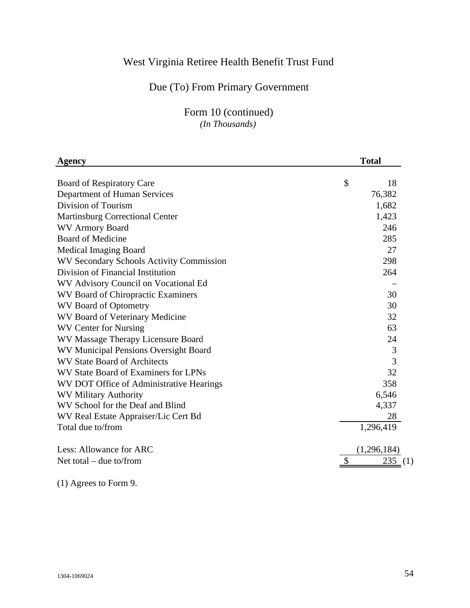# Due (To) From Primary Government

## *(In Thousands)* Form 10 (continued)

| <b>Agency</b>                                   |               | <b>Total</b>   |
|-------------------------------------------------|---------------|----------------|
|                                                 |               |                |
| Board of Respiratory Care                       | \$            | 18             |
| Department of Human Services                    |               | 76,382         |
| Division of Tourism                             |               | 1,682          |
| <b>Martinsburg Correctional Center</b>          |               | 1,423          |
| <b>WV Armory Board</b>                          |               | 246            |
| <b>Board of Medicine</b>                        |               | 285            |
| <b>Medical Imaging Board</b>                    |               | 27             |
| <b>WV Secondary Schools Activity Commission</b> |               | 298            |
| Division of Financial Institution               |               | 264            |
| WV Advisory Council on Vocational Ed            |               |                |
| <b>WV Board of Chiropractic Examiners</b>       |               | 30             |
| <b>WV Board of Optometry</b>                    |               | 30             |
| WV Board of Veterinary Medicine                 |               | 32             |
| <b>WV Center for Nursing</b>                    |               | 63             |
| WV Massage Therapy Licensure Board              |               | 24             |
| WV Municipal Pensions Oversight Board           |               | 3              |
| <b>WV State Board of Architects</b>             |               | $\overline{3}$ |
| WV State Board of Examiners for LPNs            |               | 32             |
| WV DOT Office of Administrative Hearings        |               | 358            |
| <b>WV Military Authority</b>                    |               | 6,546          |
| WV School for the Deaf and Blind                |               | 4,337          |
| WV Real Estate Appraiser/Lic Cert Bd            |               | 28             |
| Total due to/from                               |               | 1,296,419      |
| Less: Allowance for ARC                         |               | (1,296,184)    |
| Net total $-$ due to/from                       | $\mathcal{S}$ | 235            |

(1) Agrees to Form 9.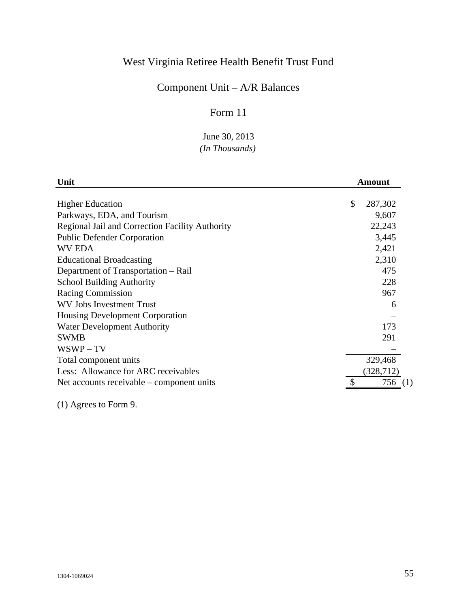## Component Unit – A/R Balances

# Form 11

## *(In Thousands)* June 30, 2013

| Unit                                            | <b>Amount</b> |
|-------------------------------------------------|---------------|
| <b>Higher Education</b>                         | \$<br>287,302 |
| Parkways, EDA, and Tourism                      | 9,607         |
| Regional Jail and Correction Facility Authority | 22,243        |
| <b>Public Defender Corporation</b>              | 3,445         |
| <b>WV EDA</b>                                   | 2,421         |
| <b>Educational Broadcasting</b>                 | 2,310         |
| Department of Transportation - Rail             | 475           |
| <b>School Building Authority</b>                | 228           |
| <b>Racing Commission</b>                        | 967           |
| <b>WV Jobs Investment Trust</b>                 | 6             |
| <b>Housing Development Corporation</b>          |               |
| <b>Water Development Authority</b>              | 173           |
| <b>SWMB</b>                                     | 291           |
| $WSWP - TV$                                     |               |
| Total component units                           | 329,468       |
| Less: Allowance for ARC receivables             | (328, 712)    |
| Net accounts receivable – component units       | 756           |

(1) Agrees to Form 9.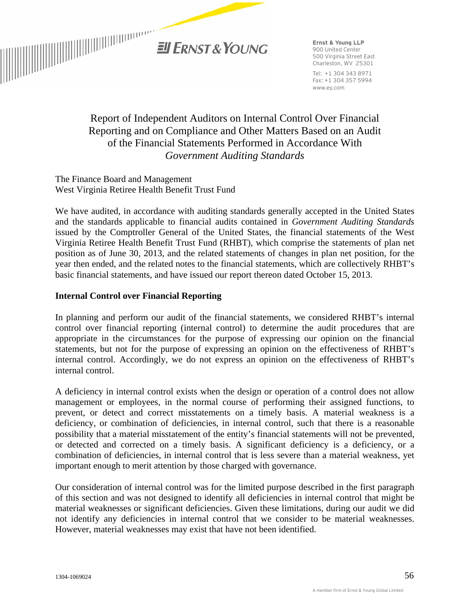

**Ernst & Young LLP**  900 United Center 500 Virginia Street East Charleston, WV 25301 Tel: +1 304 343 8971 Fax: +1 304 357 5994 www.ey.com

## Report of Independent Auditors on Internal Control Over Financial Reporting and on Compliance and Other Matters Based on an Audit of the Financial Statements Performed in Accordance With *Government Auditing Standards*

The Finance Board and Management West Virginia Retiree Health Benefit Trust Fund

We have audited, in accordance with auditing standards generally accepted in the United States and the standards applicable to financial audits contained in *Government Auditing Standards*  issued by the Comptroller General of the United States, the financial statements of the West Virginia Retiree Health Benefit Trust Fund (RHBT), which comprise the statements of plan net position as of June 30, 2013, and the related statements of changes in plan net position, for the year then ended, and the related notes to the financial statements, which are collectively RHBT's basic financial statements, and have issued our report thereon dated October 15, 2013.

#### **Internal Control over Financial Reporting**

In planning and perform our audit of the financial statements, we considered RHBT's internal control over financial reporting (internal control) to determine the audit procedures that are appropriate in the circumstances for the purpose of expressing our opinion on the financial statements, but not for the purpose of expressing an opinion on the effectiveness of RHBT's internal control. Accordingly, we do not express an opinion on the effectiveness of RHBT's internal control.

A deficiency in internal control exists when the design or operation of a control does not allow management or employees, in the normal course of performing their assigned functions, to prevent, or detect and correct misstatements on a timely basis. A material weakness is a deficiency, or combination of deficiencies, in internal control, such that there is a reasonable possibility that a material misstatement of the entity's financial statements will not be prevented, or detected and corrected on a timely basis. A significant deficiency is a deficiency, or a combination of deficiencies, in internal control that is less severe than a material weakness, yet important enough to merit attention by those charged with governance.

Our consideration of internal control was for the limited purpose described in the first paragraph of this section and was not designed to identify all deficiencies in internal control that might be material weaknesses or significant deficiencies. Given these limitations, during our audit we did not identify any deficiencies in internal control that we consider to be material weaknesses. However, material weaknesses may exist that have not been identified.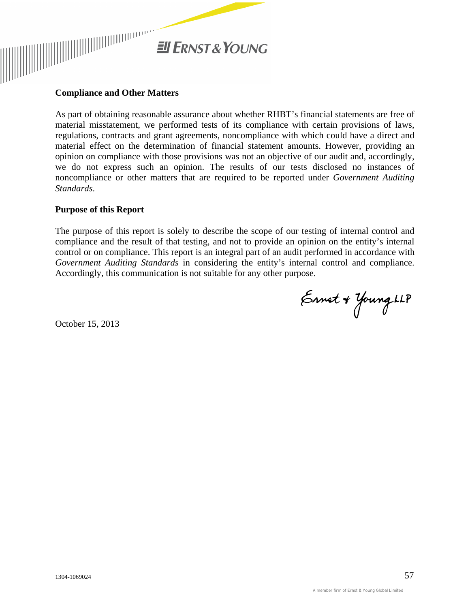

#### **Compliance and Other Matters**

As part of obtaining reasonable assurance about whether RHBT's financial statements are free of material misstatement, we performed tests of its compliance with certain provisions of laws, regulations, contracts and grant agreements, noncompliance with which could have a direct and material effect on the determination of financial statement amounts. However, providing an opinion on compliance with those provisions was not an objective of our audit and, accordingly, we do not express such an opinion. The results of our tests disclosed no instances of noncompliance or other matters that are required to be reported under *Government Auditing Standards*.

#### **Purpose of this Report**

The purpose of this report is solely to describe the scope of our testing of internal control and compliance and the result of that testing, and not to provide an opinion on the entity's internal control or on compliance. This report is an integral part of an audit performed in accordance with *Government Auditing Standards* in considering the entity's internal control and compliance. Accordingly, this communication is not suitable for any other purpose.

Ernet + Young LLP

October 15, 2013